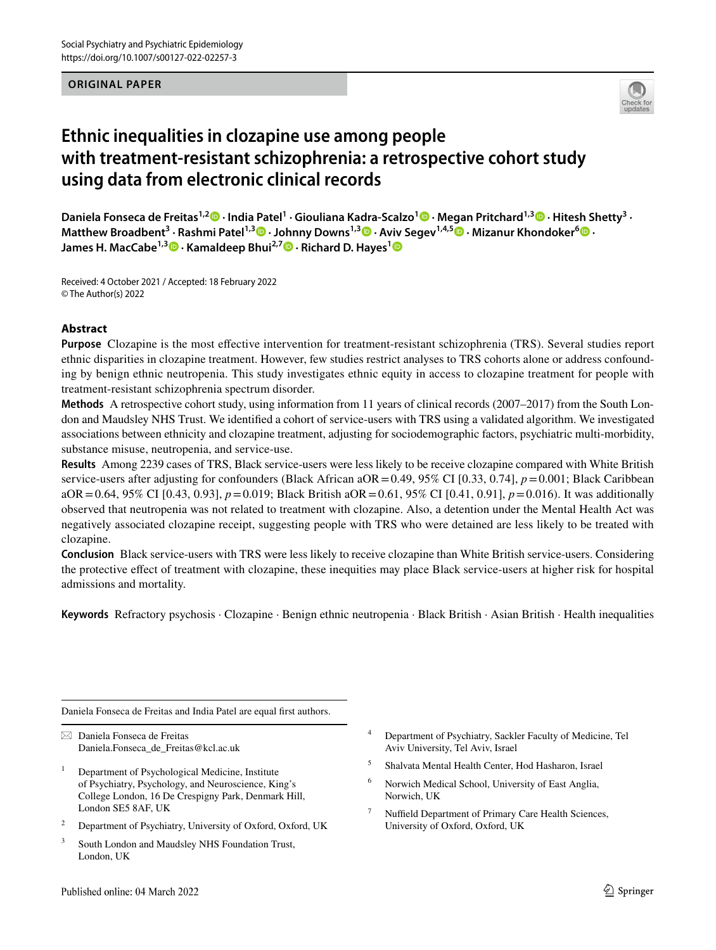#### **ORIGINAL PAPER**



# **Ethnic inequalities in clozapine use among people with treatment‑resistant schizophrenia: a retrospective cohort study using data from electronic clinical records**

**Daniela Fonseca de Freitas1,2 · India Patel1 · Giouliana Kadra‑Scalzo1 · Megan Pritchard1,[3](http://orcid.org/0000-0001-8872-3614) · Hitesh Shetty3 · Matthew Broadbent<sup>3</sup> · Rashmi Patel1,3 · Johnny Downs1,3 · Aviv Segev1,4,5 · Mizanur Khondoker<sup>6</sup>  [·](http://orcid.org/0000-0002-1801-1635) James H. MacCabe1,3  [·](http://orcid.org/0000-0002-6754-1018) Kamaldeep Bhui2,7 · Richard D. Hayes[1](http://orcid.org/0000-0003-4453-244X)**

Received: 4 October 2021 / Accepted: 18 February 2022 © The Author(s) 2022

#### **Abstract**

**Purpose** Clozapine is the most efective intervention for treatment-resistant schizophrenia (TRS). Several studies report ethnic disparities in clozapine treatment. However, few studies restrict analyses to TRS cohorts alone or address confounding by benign ethnic neutropenia. This study investigates ethnic equity in access to clozapine treatment for people with treatment-resistant schizophrenia spectrum disorder.

**Methods** A retrospective cohort study, using information from 11 years of clinical records (2007–2017) from the South London and Maudsley NHS Trust. We identifed a cohort of service-users with TRS using a validated algorithm. We investigated associations between ethnicity and clozapine treatment, adjusting for sociodemographic factors, psychiatric multi-morbidity, substance misuse, neutropenia, and service-use.

**Results** Among 2239 cases of TRS, Black service-users were less likely to be receive clozapine compared with White British service-users after adjusting for confounders (Black African aOR = 0.49, 95% CI [0.33, 0.74],  $p = 0.001$ ; Black Caribbean aOR=0.64, 95% CI [0.43, 0.93], *p*=0.019; Black British aOR=0.61, 95% CI [0.41, 0.91], *p*=0.016). It was additionally observed that neutropenia was not related to treatment with clozapine. Also, a detention under the Mental Health Act was negatively associated clozapine receipt, suggesting people with TRS who were detained are less likely to be treated with clozapine.

**Conclusion** Black service-users with TRS were less likely to receive clozapine than White British service-users. Considering the protective efect of treatment with clozapine, these inequities may place Black service-users at higher risk for hospital admissions and mortality.

**Keywords** Refractory psychosis · Clozapine · Benign ethnic neutropenia · Black British · Asian British · Health inequalities

Daniela Fonseca de Freitas and India Patel are equal frst authors.

 $\boxtimes$  Daniela Fonseca de Freitas Daniela.Fonseca\_de\_Freitas@kcl.ac.uk

- <sup>1</sup> Department of Psychological Medicine, Institute of Psychiatry, Psychology, and Neuroscience, King's College London, 16 De Crespigny Park, Denmark Hill, London SE5 8AF, UK
- <sup>2</sup> Department of Psychiatry, University of Oxford, Oxford, UK
- <sup>3</sup> South London and Maudsley NHS Foundation Trust, London, UK
- <sup>4</sup> Department of Psychiatry, Sackler Faculty of Medicine, Tel Aviv University, Tel Aviv, Israel
- <sup>5</sup> Shalvata Mental Health Center, Hod Hasharon, Israel
- <sup>6</sup> Norwich Medical School, University of East Anglia, Norwich, UK
- <sup>7</sup> Nuffield Department of Primary Care Health Sciences, University of Oxford, Oxford, UK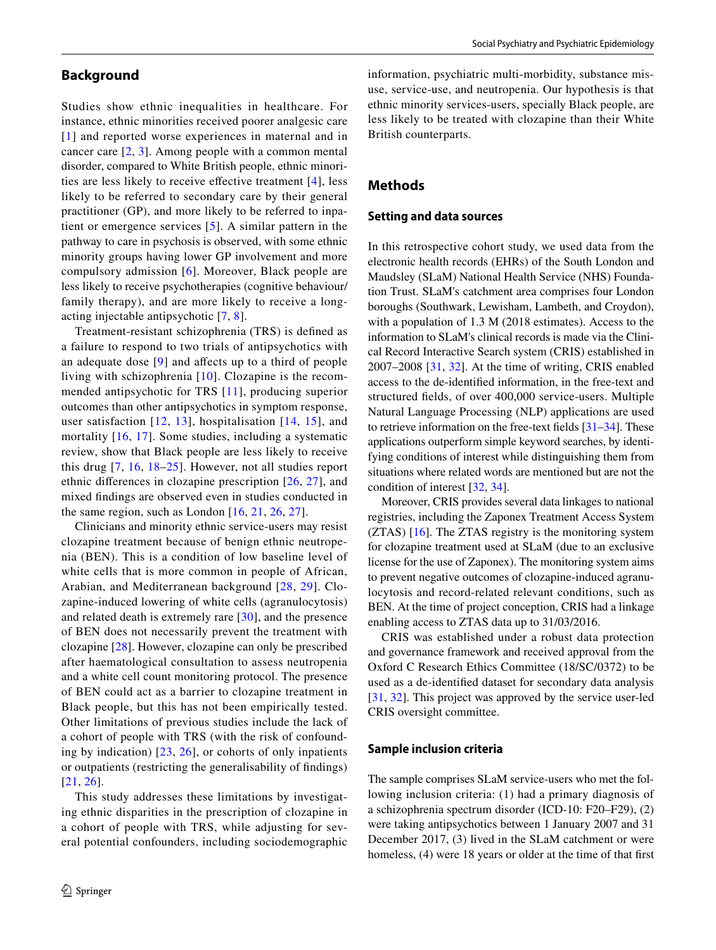# **Background**

Studies show ethnic inequalities in healthcare. For instance, ethnic minorities received poorer analgesic care [[1](#page-12-0)] and reported worse experiences in maternal and in cancer care [[2,](#page-12-1) [3](#page-12-2)]. Among people with a common mental disorder, compared to White British people, ethnic minorities are less likely to receive efective treatment [[4](#page-12-3)], less likely to be referred to secondary care by their general practitioner (GP), and more likely to be referred to inpatient or emergence services [\[5\]](#page-12-4). A similar pattern in the pathway to care in psychosis is observed, with some ethnic minority groups having lower GP involvement and more compulsory admission [[6](#page-12-5)]. Moreover, Black people are less likely to receive psychotherapies (cognitive behaviour/ family therapy), and are more likely to receive a longacting injectable antipsychotic [[7](#page-12-6), [8\]](#page-13-0).

Treatment-resistant schizophrenia (TRS) is defned as a failure to respond to two trials of antipsychotics with an adequate dose [[9](#page-13-1)] and afects up to a third of people living with schizophrenia [[10](#page-13-2)]. Clozapine is the recommended antipsychotic for TRS [[11\]](#page-13-3), producing superior outcomes than other antipsychotics in symptom response, user satisfaction [[12](#page-13-4), [13](#page-13-5)], hospitalisation [[14](#page-13-6), [15](#page-13-7)], and mortality [[16](#page-13-8), [17](#page-13-9)]. Some studies, including a systematic review, show that Black people are less likely to receive this drug [[7,](#page-12-6) [16](#page-13-8), [18](#page-13-10)–[25](#page-13-11)]. However, not all studies report ethnic diferences in clozapine prescription [[26](#page-13-12), [27](#page-13-13)], and mixed fndings are observed even in studies conducted in the same region, such as London  $[16, 21, 26, 27]$  $[16, 21, 26, 27]$  $[16, 21, 26, 27]$  $[16, 21, 26, 27]$  $[16, 21, 26, 27]$  $[16, 21, 26, 27]$  $[16, 21, 26, 27]$ .

Clinicians and minority ethnic service-users may resist clozapine treatment because of benign ethnic neutropenia (BEN). This is a condition of low baseline level of white cells that is more common in people of African, Arabian, and Mediterranean background [[28,](#page-13-15) [29\]](#page-13-16). Clozapine-induced lowering of white cells (agranulocytosis) and related death is extremely rare [[30](#page-13-17)], and the presence of BEN does not necessarily prevent the treatment with clozapine [[28](#page-13-15)]. However, clozapine can only be prescribed after haematological consultation to assess neutropenia and a white cell count monitoring protocol. The presence of BEN could act as a barrier to clozapine treatment in Black people, but this has not been empirically tested. Other limitations of previous studies include the lack of a cohort of people with TRS (with the risk of confounding by indication) [[23,](#page-13-18) [26\]](#page-13-12), or cohorts of only inpatients or outpatients (restricting the generalisability of fndings) [[21,](#page-13-14) [26\]](#page-13-12).

This study addresses these limitations by investigating ethnic disparities in the prescription of clozapine in a cohort of people with TRS, while adjusting for several potential confounders, including sociodemographic information, psychiatric multi-morbidity, substance misuse, service-use, and neutropenia. Our hypothesis is that ethnic minority services-users, specially Black people, are less likely to be treated with clozapine than their White British counterparts.

# **Methods**

#### **Setting and data sources**

In this retrospective cohort study, we used data from the electronic health records (EHRs) of the South London and Maudsley (SLaM) National Health Service (NHS) Foundation Trust. SLaM's catchment area comprises four London boroughs (Southwark, Lewisham, Lambeth, and Croydon), with a population of 1.3 M (2018 estimates). Access to the information to SLaM's clinical records is made via the Clinical Record Interactive Search system (CRIS) established in 2007–2008 [[31](#page-13-19), [32\]](#page-13-20). At the time of writing, CRIS enabled access to the de-identifed information, in the free-text and structured felds, of over 400,000 service-users. Multiple Natural Language Processing (NLP) applications are used to retrieve information on the free-text felds [\[31](#page-13-19)[–34](#page-13-21)]. These applications outperform simple keyword searches, by identifying conditions of interest while distinguishing them from situations where related words are mentioned but are not the condition of interest [\[32](#page-13-20), [34](#page-13-21)].

Moreover, CRIS provides several data linkages to national registries, including the Zaponex Treatment Access System (ZTAS) [[16](#page-13-8)]. The ZTAS registry is the monitoring system for clozapine treatment used at SLaM (due to an exclusive license for the use of Zaponex). The monitoring system aims to prevent negative outcomes of clozapine-induced agranulocytosis and record-related relevant conditions, such as BEN. At the time of project conception, CRIS had a linkage enabling access to ZTAS data up to 31/03/2016.

CRIS was established under a robust data protection and governance framework and received approval from the Oxford C Research Ethics Committee (18/SC/0372) to be used as a de-identifed dataset for secondary data analysis [[31,](#page-13-19) [32\]](#page-13-20). This project was approved by the service user-led CRIS oversight committee.

#### **Sample inclusion criteria**

The sample comprises SLaM service-users who met the following inclusion criteria: (1) had a primary diagnosis of a schizophrenia spectrum disorder (ICD-10: F20–F29), (2) were taking antipsychotics between 1 January 2007 and 31 December 2017, (3) lived in the SLaM catchment or were homeless, (4) were 18 years or older at the time of that first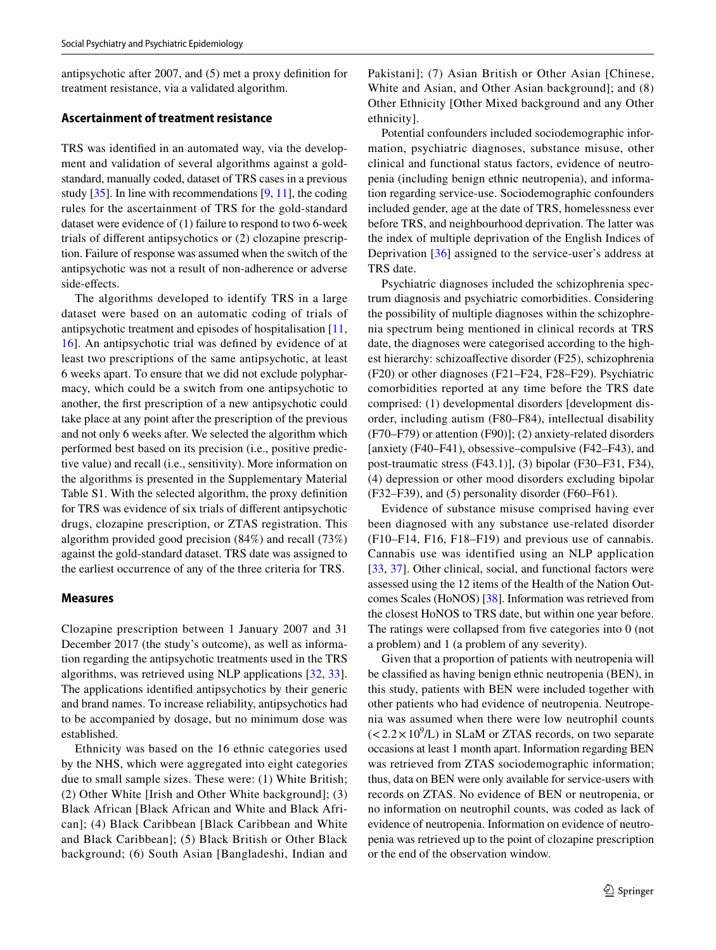antipsychotic after 2007, and (5) met a proxy defnition for treatment resistance, via a validated algorithm.

# **Ascertainment of treatment resistance**

TRS was identifed in an automated way, via the development and validation of several algorithms against a goldstandard, manually coded, dataset of TRS cases in a previous study  $[35]$  $[35]$ . In line with recommendations  $[9, 11]$  $[9, 11]$  $[9, 11]$ , the coding rules for the ascertainment of TRS for the gold-standard dataset were evidence of (1) failure to respond to two 6-week trials of diferent antipsychotics or (2) clozapine prescription. Failure of response was assumed when the switch of the antipsychotic was not a result of non-adherence or adverse side-efects.

The algorithms developed to identify TRS in a large dataset were based on an automatic coding of trials of antipsychotic treatment and episodes of hospitalisation [[11,](#page-13-3) [16](#page-13-8)]. An antipsychotic trial was defned by evidence of at least two prescriptions of the same antipsychotic, at least 6 weeks apart. To ensure that we did not exclude polypharmacy, which could be a switch from one antipsychotic to another, the frst prescription of a new antipsychotic could take place at any point after the prescription of the previous and not only 6 weeks after. We selected the algorithm which performed best based on its precision (i.e., positive predictive value) and recall (i.e., sensitivity). More information on the algorithms is presented in the Supplementary Material Table S1. With the selected algorithm, the proxy defnition for TRS was evidence of six trials of diferent antipsychotic drugs, clozapine prescription, or ZTAS registration. This algorithm provided good precision (84%) and recall (73%) against the gold-standard dataset. TRS date was assigned to the earliest occurrence of any of the three criteria for TRS.

#### **Measures**

Clozapine prescription between 1 January 2007 and 31 December 2017 (the study's outcome), as well as information regarding the antipsychotic treatments used in the TRS algorithms, was retrieved using NLP applications [[32,](#page-13-20) [33](#page-13-23)]. The applications identifed antipsychotics by their generic and brand names. To increase reliability, antipsychotics had to be accompanied by dosage, but no minimum dose was established.

Ethnicity was based on the 16 ethnic categories used by the NHS, which were aggregated into eight categories due to small sample sizes. These were: (1) White British; (2) Other White [Irish and Other White background]; (3) Black African [Black African and White and Black African]; (4) Black Caribbean [Black Caribbean and White and Black Caribbean]; (5) Black British or Other Black background; (6) South Asian [Bangladeshi, Indian and Pakistani]; (7) Asian British or Other Asian [Chinese, White and Asian, and Other Asian background]; and (8) Other Ethnicity [Other Mixed background and any Other ethnicity].

Potential confounders included sociodemographic information, psychiatric diagnoses, substance misuse, other clinical and functional status factors, evidence of neutropenia (including benign ethnic neutropenia), and information regarding service-use. Sociodemographic confounders included gender, age at the date of TRS, homelessness ever before TRS, and neighbourhood deprivation. The latter was the index of multiple deprivation of the English Indices of Deprivation [[36\]](#page-13-24) assigned to the service-user's address at TRS date.

Psychiatric diagnoses included the schizophrenia spectrum diagnosis and psychiatric comorbidities. Considering the possibility of multiple diagnoses within the schizophrenia spectrum being mentioned in clinical records at TRS date, the diagnoses were categorised according to the highest hierarchy: schizoaffective disorder (F25), schizophrenia (F20) or other diagnoses (F21–F24, F28–F29). Psychiatric comorbidities reported at any time before the TRS date comprised: (1) developmental disorders [development disorder, including autism (F80–F84), intellectual disability (F70–F79) or attention (F90)]; (2) anxiety-related disorders [anxiety (F40–F41), obsessive–compulsive (F42–F43), and post-traumatic stress (F43.1)], (3) bipolar (F30–F31, F34), (4) depression or other mood disorders excluding bipolar (F32–F39), and (5) personality disorder (F60–F61).

Evidence of substance misuse comprised having ever been diagnosed with any substance use-related disorder (F10–F14, F16, F18–F19) and previous use of cannabis. Cannabis use was identified using an NLP application [[33,](#page-13-23) [37](#page-13-25)]. Other clinical, social, and functional factors were assessed using the 12 items of the Health of the Nation Outcomes Scales (HoNOS) [\[38](#page-13-26)]. Information was retrieved from the closest HoNOS to TRS date, but within one year before. The ratings were collapsed from fve categories into 0 (not a problem) and 1 (a problem of any severity).

Given that a proportion of patients with neutropenia will be classifed as having benign ethnic neutropenia (BEN), in this study, patients with BEN were included together with other patients who had evidence of neutropenia. Neutropenia was assumed when there were low neutrophil counts  $(<2.2 \times 10^9$ /L) in SLaM or ZTAS records, on two separate occasions at least 1 month apart. Information regarding BEN was retrieved from ZTAS sociodemographic information; thus, data on BEN were only available for service-users with records on ZTAS. No evidence of BEN or neutropenia, or no information on neutrophil counts, was coded as lack of evidence of neutropenia. Information on evidence of neutropenia was retrieved up to the point of clozapine prescription or the end of the observation window.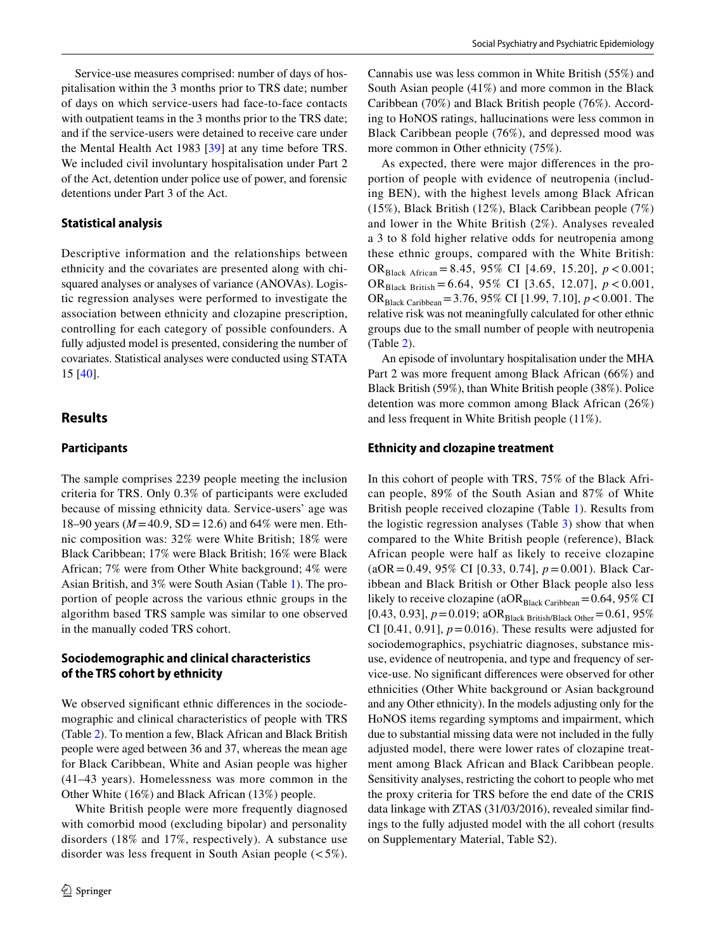Service-use measures comprised: number of days of hospitalisation within the 3 months prior to TRS date; number of days on which service-users had face-to-face contacts with outpatient teams in the 3 months prior to the TRS date; and if the service-users were detained to receive care under the Mental Health Act 1983 [\[39\]](#page-13-27) at any time before TRS. We included civil involuntary hospitalisation under Part 2 of the Act, detention under police use of power, and forensic detentions under Part 3 of the Act.

#### **Statistical analysis**

Descriptive information and the relationships between ethnicity and the covariates are presented along with chisquared analyses or analyses of variance (ANOVAs). Logistic regression analyses were performed to investigate the association between ethnicity and clozapine prescription, controlling for each category of possible confounders. A fully adjusted model is presented, considering the number of covariates. Statistical analyses were conducted using STATA 15 [[40](#page-13-28)].

# **Results**

#### **Participants**

The sample comprises 2239 people meeting the inclusion criteria for TRS. Only 0.3% of participants were excluded because of missing ethnicity data. Service-users' age was 18–90 years ( $M = 40.9$ , SD = 12.6) and 64% were men. Ethnic composition was: 32% were White British; 18% were Black Caribbean; 17% were Black British; 16% were Black African; 7% were from Other White background; 4% were Asian British, and 3% were South Asian (Table [1\)](#page-4-0). The proportion of people across the various ethnic groups in the algorithm based TRS sample was similar to one observed in the manually coded TRS cohort.

# **Sociodemographic and clinical characteristics of the TRS cohort by ethnicity**

We observed significant ethnic differences in the sociodemographic and clinical characteristics of people with TRS (Table [2](#page-7-0)). To mention a few, Black African and Black British people were aged between 36 and 37, whereas the mean age for Black Caribbean, White and Asian people was higher (41–43 years). Homelessness was more common in the Other White (16%) and Black African (13%) people.

White British people were more frequently diagnosed with comorbid mood (excluding bipolar) and personality disorders (18% and 17%, respectively). A substance use disorder was less frequent in South Asian people  $(<5\%)$ .

Cannabis use was less common in White British (55%) and South Asian people (41%) and more common in the Black Caribbean (70%) and Black British people (76%). According to HoNOS ratings, hallucinations were less common in Black Caribbean people (76%), and depressed mood was more common in Other ethnicity (75%).

As expected, there were major diferences in the proportion of people with evidence of neutropenia (including BEN), with the highest levels among Black African (15%), Black British (12%), Black Caribbean people (7%) and lower in the White British (2%). Analyses revealed a 3 to 8 fold higher relative odds for neutropenia among these ethnic groups, compared with the White British: ORBlack African = 8.45, 95% CI [4.69, 15.20], *p* < 0.001; ORBlack British = 6.64, 95% CI [3.65, 12.07], *p* < 0.001, ORBlack Caribbean=3.76, 95% CI [1.99, 7.10], *p*<0.001. The relative risk was not meaningfully calculated for other ethnic groups due to the small number of people with neutropenia (Table [2\)](#page-7-0).

An episode of involuntary hospitalisation under the MHA Part 2 was more frequent among Black African (66%) and Black British (59%), than White British people (38%). Police detention was more common among Black African (26%) and less frequent in White British people (11%).

#### **Ethnicity and clozapine treatment**

In this cohort of people with TRS, 75% of the Black African people, 89% of the South Asian and 87% of White British people received clozapine (Table [1](#page-4-0)). Results from the logistic regression analyses (Table [3\)](#page-10-0) show that when compared to the White British people (reference), Black African people were half as likely to receive clozapine (aOR=0.49, 95% CI [0.33, 0.74], *p*=0.001). Black Caribbean and Black British or Other Black people also less likely to receive clozapine (a $OR<sub>Black Caribbean</sub>=0.64, 95\%$  CI [0.43, 0.93],  $p = 0.019$ ; aOR<sub>Black British/Black Other</sub> $= 0.61$ , 95% CI  $[0.41, 0.91]$ ,  $p = 0.016$ ). These results were adjusted for sociodemographics, psychiatric diagnoses, substance misuse, evidence of neutropenia, and type and frequency of service-use. No signifcant diferences were observed for other ethnicities (Other White background or Asian background and any Other ethnicity). In the models adjusting only for the HoNOS items regarding symptoms and impairment, which due to substantial missing data were not included in the fully adjusted model, there were lower rates of clozapine treatment among Black African and Black Caribbean people. Sensitivity analyses, restricting the cohort to people who met the proxy criteria for TRS before the end date of the CRIS data linkage with ZTAS (31/03/2016), revealed similar fndings to the fully adjusted model with the all cohort (results on Supplementary Material, Table S2).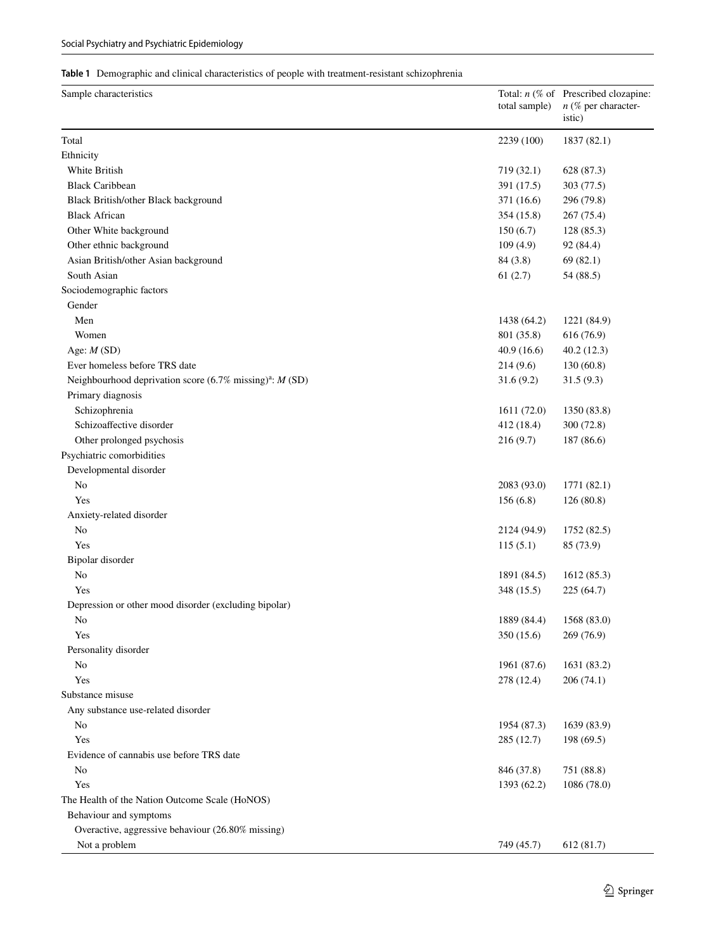# <span id="page-4-0"></span>**Table 1** Demographic and clinical characteristics of people with treatment-resistant schizophrenia

| Sample characteristics                                                               | total sample) | Total: $n$ (% of Prescribed clozapine:<br>$n$ (% per character-<br>istic) |
|--------------------------------------------------------------------------------------|---------------|---------------------------------------------------------------------------|
| Total                                                                                | 2239 (100)    | 1837 (82.1)                                                               |
| Ethnicity                                                                            |               |                                                                           |
| White British                                                                        | 719 (32.1)    | 628 (87.3)                                                                |
| <b>Black Caribbean</b>                                                               | 391 (17.5)    | 303 (77.5)                                                                |
| Black British/other Black background                                                 | 371 (16.6)    | 296 (79.8)                                                                |
| <b>Black African</b>                                                                 | 354 (15.8)    | 267 (75.4)                                                                |
| Other White background                                                               | 150(6.7)      | 128 (85.3)                                                                |
| Other ethnic background                                                              | 109(4.9)      | 92 (84.4)                                                                 |
| Asian British/other Asian background                                                 | 84 (3.8)      | 69(82.1)                                                                  |
| South Asian                                                                          | 61(2.7)       | 54 (88.5)                                                                 |
| Sociodemographic factors                                                             |               |                                                                           |
| Gender                                                                               |               |                                                                           |
| Men                                                                                  | 1438 (64.2)   | 1221 (84.9)                                                               |
| Women                                                                                | 801 (35.8)    | 616 (76.9)                                                                |
| Age: $M(SD)$                                                                         | 40.9(16.6)    | 40.2(12.3)                                                                |
| Ever homeless before TRS date                                                        | 214(9.6)      | 130(60.8)                                                                 |
| Neighbourhood deprivation score $(6.7\% \text{ missing})^{\text{a}}$ : <i>M</i> (SD) | 31.6(9.2)     | 31.5(9.3)                                                                 |
| Primary diagnosis                                                                    |               |                                                                           |
| Schizophrenia                                                                        | 1611 (72.0)   | 1350 (83.8)                                                               |
| Schizoaffective disorder                                                             | 412 (18.4)    | 300 (72.8)                                                                |
| Other prolonged psychosis                                                            | 216(9.7)      | 187 (86.6)                                                                |
| Psychiatric comorbidities                                                            |               |                                                                           |
| Developmental disorder                                                               |               |                                                                           |
| No                                                                                   | 2083 (93.0)   | 1771 (82.1)                                                               |
| Yes                                                                                  | 156(6.8)      | 126(80.8)                                                                 |
| Anxiety-related disorder                                                             |               |                                                                           |
| No                                                                                   | 2124 (94.9)   | 1752 (82.5)                                                               |
| Yes                                                                                  | 115(5.1)      | 85 (73.9)                                                                 |
| Bipolar disorder                                                                     |               |                                                                           |
| N <sub>0</sub>                                                                       | 1891 (84.5)   | 1612(85.3)                                                                |
| Yes                                                                                  | 348 (15.5)    | 225(64.7)                                                                 |
| Depression or other mood disorder (excluding bipolar)                                |               |                                                                           |
| No                                                                                   | 1889 (84.4)   | 1568(83.0)                                                                |
| Yes                                                                                  | 350 (15.6)    | 269 (76.9)                                                                |
| Personality disorder                                                                 |               |                                                                           |
| No                                                                                   | 1961 (87.6)   | 1631 (83.2)                                                               |
| Yes                                                                                  | 278 (12.4)    | 206(74.1)                                                                 |
| Substance misuse                                                                     |               |                                                                           |
| Any substance use-related disorder                                                   |               |                                                                           |
| No                                                                                   | 1954 (87.3)   | 1639 (83.9)                                                               |
| Yes                                                                                  | 285 (12.7)    | 198 (69.5)                                                                |
| Evidence of cannabis use before TRS date                                             |               |                                                                           |
| No                                                                                   | 846 (37.8)    | 751 (88.8)                                                                |
| Yes                                                                                  | 1393 (62.2)   | 1086 (78.0)                                                               |
| The Health of the Nation Outcome Scale (HoNOS)                                       |               |                                                                           |
| Behaviour and symptoms                                                               |               |                                                                           |
| Overactive, aggressive behaviour (26.80% missing)                                    |               |                                                                           |
| Not a problem                                                                        | 749 (45.7)    | 612 (81.7)                                                                |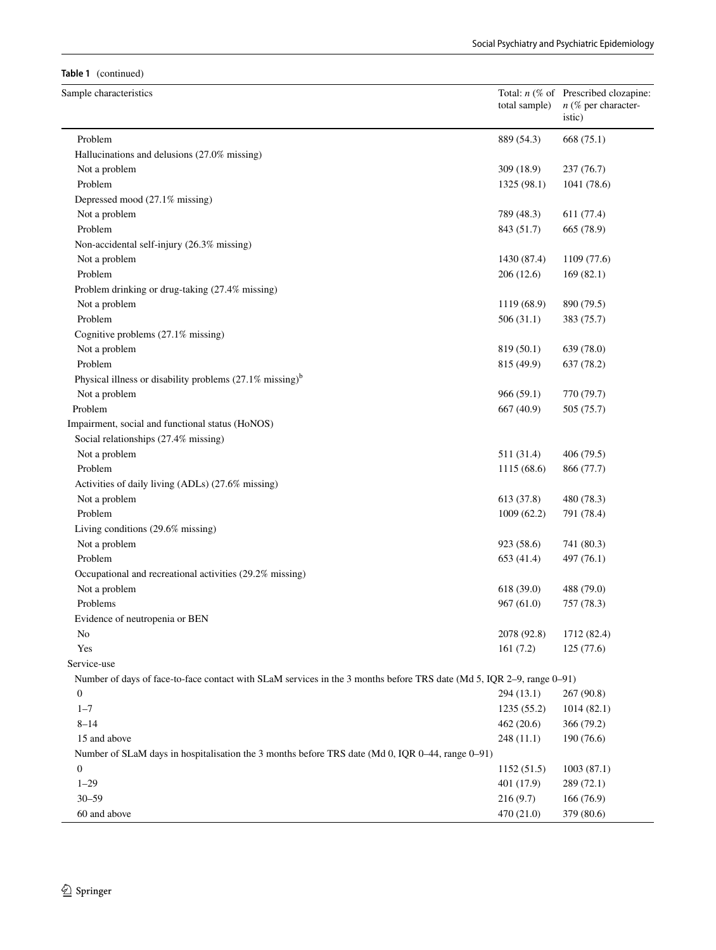#### **Table 1** (continued)

| Sample characteristics                                                                                                | total sample) | Total: $n$ (% of Prescribed clozapine:<br>$n$ (% per character-<br>istic) |
|-----------------------------------------------------------------------------------------------------------------------|---------------|---------------------------------------------------------------------------|
| Problem                                                                                                               | 889 (54.3)    | 668 (75.1)                                                                |
| Hallucinations and delusions (27.0% missing)                                                                          |               |                                                                           |
| Not a problem                                                                                                         | 309 (18.9)    | 237(76.7)                                                                 |
| Problem                                                                                                               | 1325 (98.1)   | 1041 (78.6)                                                               |
| Depressed mood (27.1% missing)                                                                                        |               |                                                                           |
| Not a problem                                                                                                         | 789 (48.3)    | 611(77.4)                                                                 |
| Problem                                                                                                               | 843 (51.7)    | 665 (78.9)                                                                |
| Non-accidental self-injury (26.3% missing)                                                                            |               |                                                                           |
| Not a problem                                                                                                         | 1430 (87.4)   | 1109 (77.6)                                                               |
| Problem                                                                                                               | 206 (12.6)    | 169(82.1)                                                                 |
| Problem drinking or drug-taking (27.4% missing)                                                                       |               |                                                                           |
| Not a problem                                                                                                         | 1119 (68.9)   | 890 (79.5)                                                                |
| Problem                                                                                                               | 506(31.1)     | 383 (75.7)                                                                |
| Cognitive problems (27.1% missing)                                                                                    |               |                                                                           |
| Not a problem                                                                                                         | 819 (50.1)    | 639 (78.0)                                                                |
| Problem                                                                                                               | 815 (49.9)    | 637 (78.2)                                                                |
| Physical illness or disability problems (27.1% missing) <sup>b</sup>                                                  |               |                                                                           |
| Not a problem                                                                                                         | 966 (59.1)    | 770 (79.7)                                                                |
| Problem                                                                                                               | 667 (40.9)    | 505 (75.7)                                                                |
| Impairment, social and functional status (HoNOS)                                                                      |               |                                                                           |
| Social relationships (27.4% missing)                                                                                  |               |                                                                           |
| Not a problem                                                                                                         | 511 (31.4)    | 406 (79.5)                                                                |
| Problem                                                                                                               | 1115(68.6)    | 866 (77.7)                                                                |
| Activities of daily living (ADLs) (27.6% missing)                                                                     |               |                                                                           |
| Not a problem                                                                                                         | 613 (37.8)    | 480 (78.3)                                                                |
| Problem                                                                                                               | 1009(62.2)    | 791 (78.4)                                                                |
| Living conditions (29.6% missing)                                                                                     |               |                                                                           |
| Not a problem                                                                                                         | 923 (58.6)    | 741 (80.3)                                                                |
| Problem                                                                                                               | 653 (41.4)    | 497 (76.1)                                                                |
| Occupational and recreational activities (29.2% missing)                                                              |               |                                                                           |
| Not a problem                                                                                                         | 618 (39.0)    | 488 (79.0)                                                                |
| Problems                                                                                                              | 967(61.0)     | 757 (78.3)                                                                |
| Evidence of neutropenia or BEN                                                                                        |               |                                                                           |
| No                                                                                                                    | 2078 (92.8)   | 1712 (82.4)                                                               |
| Yes                                                                                                                   | 161(7.2)      | 125 (77.6)                                                                |
| Service-use                                                                                                           |               |                                                                           |
| Number of days of face-to-face contact with SLaM services in the 3 months before TRS date (Md 5, IQR 2–9, range 0–91) |               |                                                                           |
| $\overline{0}$                                                                                                        | 294(13.1)     | 267(90.8)                                                                 |
| $1 - 7$                                                                                                               | 1235(55.2)    | 1014(82.1)                                                                |
| $8 - 14$                                                                                                              | 462(20.6)     | 366 (79.2)                                                                |
| 15 and above                                                                                                          | 248(11.1)     | 190(76.6)                                                                 |
| Number of SLaM days in hospitalisation the 3 months before TRS date (Md 0, IQR 0–44, range 0–91)                      |               |                                                                           |
| $\boldsymbol{0}$                                                                                                      | 1152(51.5)    | 1003(87.1)                                                                |
| $1 - 29$                                                                                                              | 401 (17.9)    | 289(72.1)                                                                 |
| $30 - 59$                                                                                                             | 216(9.7)      | 166(76.9)                                                                 |
| 60 and above                                                                                                          | 470 (21.0)    | 379 (80.6)                                                                |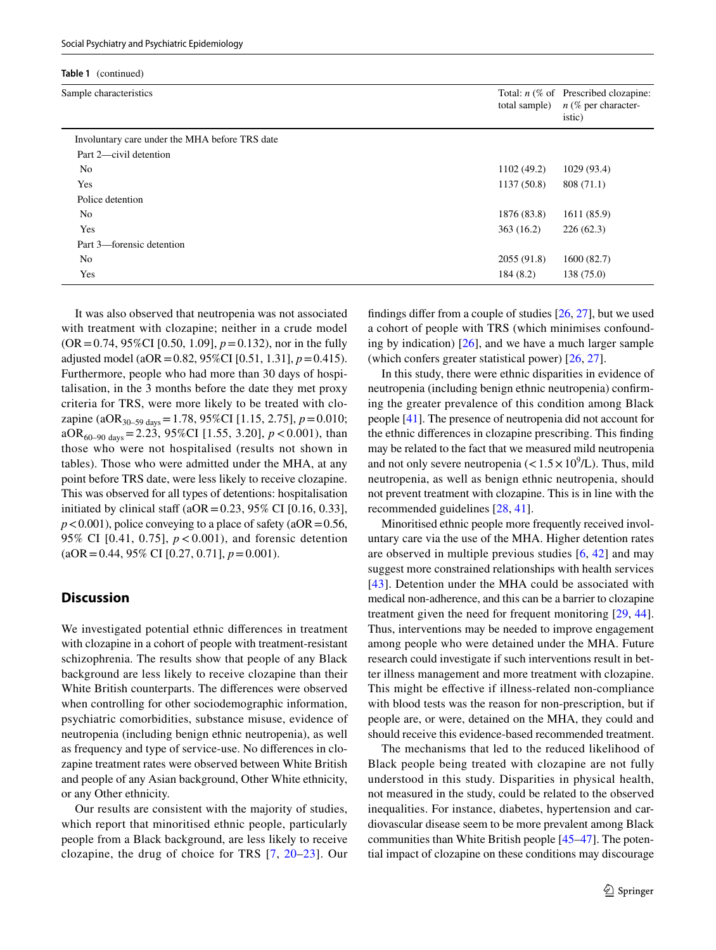| Sample characteristics                         | total sample) | Total: $n$ (% of Prescribed clozapine:<br>$n$ (% per character-<br>istic) |
|------------------------------------------------|---------------|---------------------------------------------------------------------------|
| Involuntary care under the MHA before TRS date |               |                                                                           |
| Part 2—civil detention                         |               |                                                                           |
| No.                                            | 1102(49.2)    | 1029 (93.4)                                                               |
| Yes                                            | 1137(50.8)    | 808 (71.1)                                                                |
| Police detention                               |               |                                                                           |
| N <sub>o</sub>                                 | 1876 (83.8)   | 1611 (85.9)                                                               |
| Yes                                            | 363(16.2)     | 226(62.3)                                                                 |
| Part 3—forensic detention                      |               |                                                                           |
| No.                                            | 2055(91.8)    | 1600 (82.7)                                                               |
| Yes                                            | 184 (8.2)     | 138 (75.0)                                                                |

It was also observed that neutropenia was not associated with treatment with clozapine; neither in a crude model (OR=0.74, 95%CI [0.50, 1.09], *p*=0.132), nor in the fully adjusted model (aOR=0.82, 95%CI [0.51, 1.31], *p*=0.415). Furthermore, people who had more than 30 days of hospitalisation, in the 3 months before the date they met proxy criteria for TRS, were more likely to be treated with clozapine (aOR30–59 days=1.78, 95%CI [1.15, 2.75], *p*=0.010; aOR60–90 days=2.23, 95%CI [1.55, 3.20], *p*<0.001), than those who were not hospitalised (results not shown in tables). Those who were admitted under the MHA, at any point before TRS date, were less likely to receive clozapine. This was observed for all types of detentions: hospitalisation initiated by clinical staff ( $aOR = 0.23$ , 95% CI [0.16, 0.33],  $p$ <0.001), police conveying to a place of safety (aOR = 0.56, 95% CI [0.41, 0.75], *p* < 0.001), and forensic detention (aOR=0.44, 95% CI [0.27, 0.71], *p*=0.001).

# **Discussion**

We investigated potential ethnic diferences in treatment with clozapine in a cohort of people with treatment-resistant schizophrenia. The results show that people of any Black background are less likely to receive clozapine than their White British counterparts. The diferences were observed when controlling for other sociodemographic information, psychiatric comorbidities, substance misuse, evidence of neutropenia (including benign ethnic neutropenia), as well as frequency and type of service-use. No diferences in clozapine treatment rates were observed between White British and people of any Asian background, Other White ethnicity, or any Other ethnicity.

Our results are consistent with the majority of studies, which report that minoritised ethnic people, particularly people from a Black background, are less likely to receive clozapine, the drug of choice for TRS [[7](#page-12-6), [20](#page-13-29)[–23\]](#page-13-18). Our fndings difer from a couple of studies [[26,](#page-13-12) [27](#page-13-13)], but we used a cohort of people with TRS (which minimises confounding by indication)  $[26]$  $[26]$ , and we have a much larger sample (which confers greater statistical power) [[26,](#page-13-12) [27\]](#page-13-13).

In this study, there were ethnic disparities in evidence of neutropenia (including benign ethnic neutropenia) confrming the greater prevalence of this condition among Black people [\[41](#page-13-30)]. The presence of neutropenia did not account for the ethnic diferences in clozapine prescribing. This fnding may be related to the fact that we measured mild neutropenia and not only severe neutropenia ( $< 1.5 \times 10^9$ /L). Thus, mild neutropenia, as well as benign ethnic neutropenia, should not prevent treatment with clozapine. This is in line with the recommended guidelines [\[28](#page-13-15), [41](#page-13-30)].

Minoritised ethnic people more frequently received involuntary care via the use of the MHA. Higher detention rates are observed in multiple previous studies [\[6](#page-12-5), [42](#page-13-31)] and may suggest more constrained relationships with health services [[43\]](#page-14-0). Detention under the MHA could be associated with medical non-adherence, and this can be a barrier to clozapine treatment given the need for frequent monitoring [[29,](#page-13-16) [44](#page-14-1)]. Thus, interventions may be needed to improve engagement among people who were detained under the MHA. Future research could investigate if such interventions result in better illness management and more treatment with clozapine. This might be efective if illness-related non-compliance with blood tests was the reason for non-prescription, but if people are, or were, detained on the MHA, they could and should receive this evidence-based recommended treatment.

The mechanisms that led to the reduced likelihood of Black people being treated with clozapine are not fully understood in this study. Disparities in physical health, not measured in the study, could be related to the observed inequalities. For instance, diabetes, hypertension and cardiovascular disease seem to be more prevalent among Black communities than White British people [[45–](#page-14-2)[47\]](#page-14-3). The potential impact of clozapine on these conditions may discourage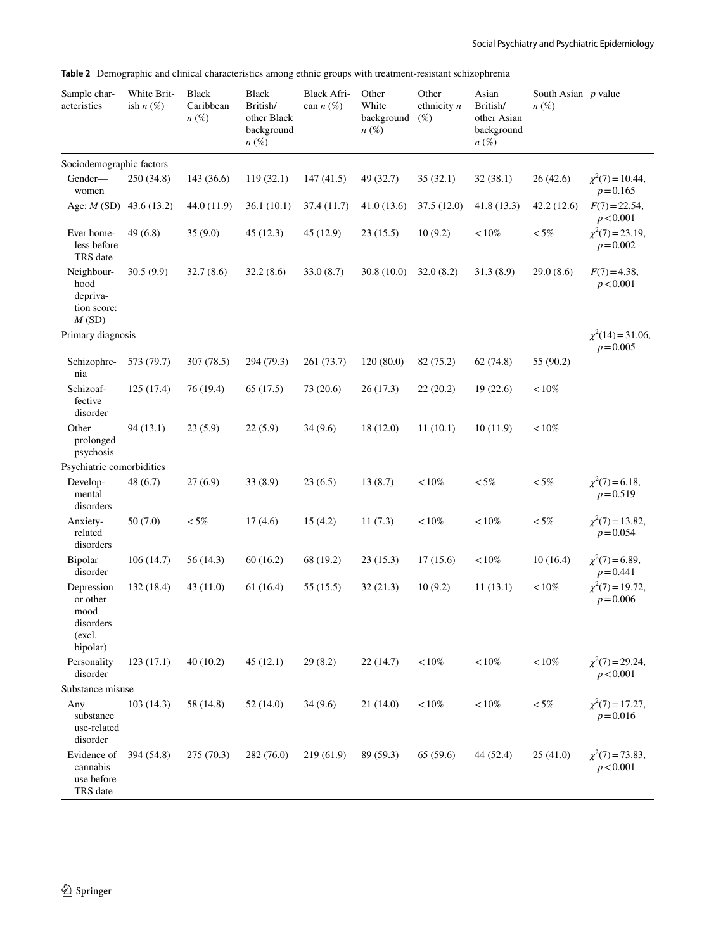<span id="page-7-0"></span>

|  | Table 2 Demographic and clinical characteristics among ethnic groups with treatment-resistant schizophrenia |  |  |  |  |
|--|-------------------------------------------------------------------------------------------------------------|--|--|--|--|
|--|-------------------------------------------------------------------------------------------------------------|--|--|--|--|

| Sample char-<br>acteristics                                       | White Brit-<br>ish $n(\%)$ | <b>Black</b><br>Caribbean<br>$n(\%)$ | Black<br>British/<br>other Black<br>background<br>$n\left(\%\right)$ | <b>Black Afri-</b><br>can $n$ (%) | Other<br>White<br>background<br>$n(\%)$ | Other<br>ethnicity $n$<br>$(\%)$ | Asian<br>British/<br>other Asian<br>background<br>$n\left(\%\right)$ | South Asian $p$ value<br>$n(\%)$ |                                       |
|-------------------------------------------------------------------|----------------------------|--------------------------------------|----------------------------------------------------------------------|-----------------------------------|-----------------------------------------|----------------------------------|----------------------------------------------------------------------|----------------------------------|---------------------------------------|
| Sociodemographic factors                                          |                            |                                      |                                                                      |                                   |                                         |                                  |                                                                      |                                  |                                       |
| Gender-<br>women                                                  | 250 (34.8)                 | 143 (36.6)                           | 119(32.1)                                                            | 147(41.5)                         | 49 (32.7)                               | 35(32.1)                         | 32(38.1)                                                             | 26(42.6)                         | $\chi^2(7) = 10.44$ ,<br>$p = 0.165$  |
| Age: $M(SD)$ 43.6 (13.2)                                          |                            | 44.0 (11.9)                          | 36.1(10.1)                                                           | 37.4 (11.7)                       | 41.0(13.6)                              | 37.5(12.0)                       | 41.8 (13.3)                                                          | 42.2(12.6)                       | $F(7) = 22.54,$<br>p < 0.001          |
| Ever home-<br>less before<br>TRS date                             | 49 (6.8)                   | 35(9.0)                              | 45(12.3)                                                             | 45(12.9)                          | 23(15.5)                                | 10(9.2)                          | ${<}10\%$                                                            | ${<}5\%$                         | $\chi^2(7) = 23.19$ ,<br>$p = 0.002$  |
| Neighbour-<br>hood<br>depriva-<br>tion score:<br>M(SD)            | 30.5(9.9)                  | 32.7(8.6)                            | 32.2(8.6)                                                            | 33.0(8.7)                         | 30.8(10.0)                              | 32.0(8.2)                        | 31.3(8.9)                                                            | 29.0(8.6)                        | $F(7) = 4.38$ ,<br>p < 0.001          |
| Primary diagnosis                                                 |                            |                                      |                                                                      |                                   |                                         |                                  |                                                                      |                                  | $\chi^2(14) = 31.06$ ,<br>$p = 0.005$ |
| Schizophre-<br>nia                                                | 573 (79.7)                 | 307 (78.5)                           | 294 (79.3)                                                           | 261 (73.7)                        | 120(80.0)                               | 82 (75.2)                        | 62(74.8)                                                             | 55 (90.2)                        |                                       |
| Schizoaf-<br>fective<br>disorder                                  | 125 (17.4)                 | 76 (19.4)                            | 65 (17.5)                                                            | 73 (20.6)                         | 26(17.3)                                | 22(20.2)                         | 19(22.6)                                                             | $< 10\%$                         |                                       |
| Other<br>prolonged<br>psychosis                                   | 94(13.1)                   | 23(5.9)                              | 22(5.9)                                                              | 34(9.6)                           | 18 (12.0)                               | 11(10.1)                         | 10(11.9)                                                             | $<\!10\%$                        |                                       |
| Psychiatric comorbidities                                         |                            |                                      |                                                                      |                                   |                                         |                                  |                                                                      |                                  |                                       |
| Develop-<br>mental<br>disorders                                   | 48(6.7)                    | 27(6.9)                              | 33(8.9)                                                              | 23(6.5)                           | 13(8.7)                                 | $<\!10\%$                        | $< 5\%$                                                              | ${<}5\%$                         | $\chi^2(7)$ = 6.18,<br>$p = 0.519$    |
| Anxiety-<br>related<br>disorders                                  | 50(7.0)                    | ${<}5\%$                             | 17(4.6)                                                              | 15(4.2)                           | 11(7.3)                                 | $< 10\%$                         | $<\!10\%$                                                            | ${<}5\%$                         | $\chi^2(7) = 13.82$ ,<br>$p = 0.054$  |
| <b>Bipolar</b><br>disorder                                        | 106(14.7)                  | 56(14.3)                             | 60(16.2)                                                             | 68 (19.2)                         | 23(15.3)                                | 17(15.6)                         | $<\!10\%$                                                            | 10(16.4)                         | $\chi^2(7)$ = 6.89,<br>$p = 0.441$    |
| Depression<br>or other<br>mood<br>disorders<br>(excl.<br>bipolar) | 132 (18.4)                 | 43(11.0)                             | 61(16.4)                                                             | 55(15.5)                          | 32(21.3)                                | 10(9.2)                          | 11(13.1)                                                             | $<\!10\%$                        | $\chi^2(7) = 19.72$ ,<br>$p = 0.006$  |
| Personality<br>disorder                                           | 123(17.1)                  | 40(10.2)                             | 45(12.1)                                                             | 29(8.2)                           | 22(14.7)                                | $< 10\%$                         | ${<}10\%$                                                            | $<\!10\%$                        | $\chi^2(7) = 29.24$ ,<br>p < 0.001    |
| Substance misuse                                                  |                            |                                      |                                                                      |                                   |                                         |                                  |                                                                      |                                  |                                       |
| Any<br>substance<br>use-related<br>disorder                       | 103(14.3)                  | 58 (14.8)                            | 52 (14.0)                                                            | 34(9.6)                           | 21(14.0)                                | $< 10\%$                         | $<\!10\%$                                                            | ${<}\,5\%$                       | $\chi^2(7) = 17.27$ ,<br>$p = 0.016$  |
| Evidence of<br>cannabis<br>use before<br>TRS date                 | 394 (54.8)                 | 275(70.3)                            | 282 (76.0)                                                           | 219(61.9)                         | 89 (59.3)                               | 65(59.6)                         | 44 (52.4)                                                            | 25(41.0)                         | $\chi^2(7) = 73.83$ ,<br>p < 0.001    |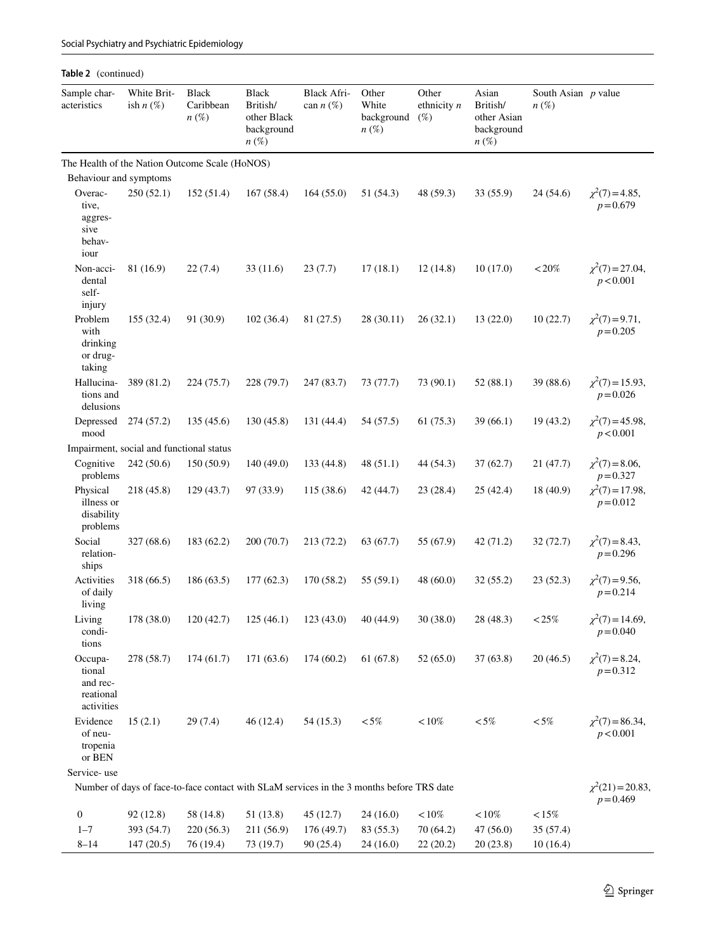| Table 2 (continued)                                      |                            |                                      |                                                                                           |                            |                                                    |                                  |                                                                      |                                  |                                       |
|----------------------------------------------------------|----------------------------|--------------------------------------|-------------------------------------------------------------------------------------------|----------------------------|----------------------------------------------------|----------------------------------|----------------------------------------------------------------------|----------------------------------|---------------------------------------|
| Sample char-<br>acteristics                              | White Brit-<br>ish $n(\%)$ | <b>Black</b><br>Caribbean<br>$n(\%)$ | <b>Black</b><br>British/<br>other Black<br>background<br>$n(\%)$                          | Black Afri-<br>can $n(\%)$ | Other<br>White<br>background<br>$n\left(\%\right)$ | Other<br>ethnicity $n$<br>$(\%)$ | Asian<br>British/<br>other Asian<br>background<br>$n\left(\%\right)$ | South Asian $p$ value<br>$n(\%)$ |                                       |
| The Health of the Nation Outcome Scale (HoNOS)           |                            |                                      |                                                                                           |                            |                                                    |                                  |                                                                      |                                  |                                       |
| Behaviour and symptoms                                   |                            |                                      |                                                                                           |                            |                                                    |                                  |                                                                      |                                  |                                       |
| Overac-<br>tive,<br>aggres-<br>sive<br>behav-<br>iour    | 250(52.1)                  | 152(51.4)                            | 167(58.4)                                                                                 | 164(55.0)                  | 51 (54.3)                                          | 48 (59.3)                        | 33 (55.9)                                                            | 24(54.6)                         | $\chi^2(7) = 4.85$ ,<br>$p = 0.679$   |
| Non-acci-<br>dental<br>self-<br>injury                   | 81 (16.9)                  | 22(7.4)                              | 33(11.6)                                                                                  | 23(7.7)                    | 17(18.1)                                           | 12(14.8)                         | 10(17.0)                                                             | $<\!20\%$                        | $\chi^2(7) = 27.04$ ,<br>p < 0.001    |
| Problem<br>with<br>drinking<br>or drug-<br>taking        | 155 (32.4)                 | 91 (30.9)                            | 102(36.4)                                                                                 | 81 (27.5)                  | 28 (30.11)                                         | 26(32.1)                         | 13(22.0)                                                             | 10(22.7)                         | $\chi^2(7) = 9.71$ ,<br>$p = 0.205$   |
| Hallucina-<br>tions and<br>delusions                     | 389 (81.2)                 | 224 (75.7)                           | 228 (79.7)                                                                                | 247 (83.7)                 | 73 (77.7)                                          | 73(90.1)                         | 52(88.1)                                                             | 39 (88.6)                        | $\chi^2(7) = 15.93$ ,<br>$p = 0.026$  |
| Depressed<br>mood                                        | 274 (57.2)                 | 135(45.6)                            | 130 (45.8)                                                                                | 131 (44.4)                 | 54 (57.5)                                          | 61(75.3)                         | 39(66.1)                                                             | 19 (43.2)                        | $\chi^2(7) = 45.98$ ,<br>p < 0.001    |
| Impairment, social and functional status                 |                            |                                      |                                                                                           |                            |                                                    |                                  |                                                                      |                                  |                                       |
| Cognitive<br>problems                                    | 242(50.6)                  | 150(50.9)                            | 140(49.0)                                                                                 | 133 (44.8)                 | 48(51.1)                                           | 44 (54.3)                        | 37 (62.7)                                                            | 21(47.7)                         | $\chi^2(7) = 8.06$ ,<br>$p = 0.327$   |
| Physical<br>illness or<br>disability<br>problems         | 218 (45.8)                 | 129(43.7)                            | 97 (33.9)                                                                                 | 115(38.6)                  | 42 (44.7)                                          | 23(28.4)                         | 25(42.4)                                                             | 18 (40.9)                        | $\chi^2(7) = 17.98$ ,<br>$p = 0.012$  |
| Social<br>relation-<br>ships                             | 327(68.6)                  | 183 (62.2)                           | 200(70.7)                                                                                 | 213(72.2)                  | 63 (67.7)                                          | 55 (67.9)                        | 42 (71.2)                                                            | 32 (72.7)                        | $\chi^2(7) = 8.43$ ,<br>$p = 0.296$   |
| Activities<br>of daily<br>living                         | 318 (66.5)                 | 186(63.5)                            | 177(62.3)                                                                                 | 170(58.2)                  | 55 (59.1)                                          | 48(60.0)                         | 32(55.2)                                                             | 23(52.3)                         | $\chi^2(7) = 9.56$ ,<br>$p = 0.214$   |
| Living<br>condi-<br>tions                                | 178 (38.0)                 | 120(42.7)                            | 125(46.1)                                                                                 | 123(43.0)                  | 40 (44.9)                                          | 30(38.0)                         | 28 (48.3)                                                            | $<\!25\%$                        | $\chi^2(7) = 14.69$ ,<br>$p = 0.040$  |
| Occupa-<br>tional<br>and rec-<br>reational<br>activities | 278 (58.7)                 | 174(61.7)                            | 171 (63.6)                                                                                | 174(60.2)                  | 61(67.8)                                           | 52(65.0)                         | 37(63.8)                                                             | 20(46.5)                         | $\chi^2(7) = 8.24$ ,<br>$p = 0.312$   |
| Evidence<br>of neu-<br>tropenia<br>or BEN                | 15(2.1)                    | 29(7.4)                              | 46(12.4)                                                                                  | 54(15.3)                   | $<5\%$                                             | $<\!10\%$                        | ${<}5\%$                                                             | $<5\%$                           | $\chi^2(7) = 86.34$ ,<br>p < 0.001    |
| Service-use                                              |                            |                                      |                                                                                           |                            |                                                    |                                  |                                                                      |                                  |                                       |
|                                                          |                            |                                      | Number of days of face-to-face contact with SLaM services in the 3 months before TRS date |                            |                                                    |                                  |                                                                      |                                  | $\chi^2(21) = 20.83$ ,<br>$p = 0.469$ |
| $\boldsymbol{0}$                                         | 92 (12.8)                  | 58 (14.8)                            | 51 (13.8)                                                                                 | 45(12.7)                   | 24(16.0)                                           | $<\!10\%$                        | $<\!10\%$                                                            | $<\!15\%$                        |                                       |
| $1 - 7$<br>$8 - 14$                                      | 393 (54.7)<br>147(20.5)    | 220(56.3)<br>76 (19.4)               | 211 (56.9)<br>73 (19.7)                                                                   | 176 (49.7)<br>90(25.4)     | 83 (55.3)<br>24(16.0)                              | 70 (64.2)<br>22(20.2)            | 47 (56.0)<br>20(23.8)                                                | 35 (57.4)<br>10(16.4)            |                                       |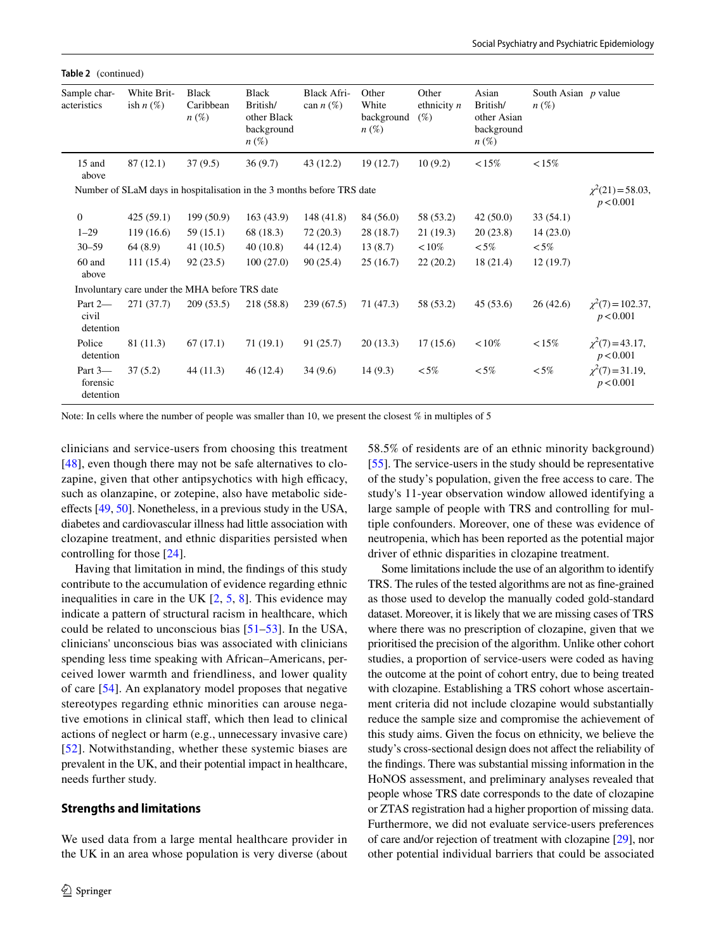**Table 2** (continued)

| Sample char-<br>acteristics      | White Brit-<br>ish $n(\%)$ | <b>Black</b><br>Caribbean<br>$n\left(\%\right)$                        | <b>Black</b><br>British/<br>other Black<br>background<br>$n\left(\%\right)$ | <b>Black Afri-</b><br>can $n(\%)$ | Other<br>White<br>background<br>$n(\%)$ | Other<br>ethnicity $n$<br>$(\%)$ | Asian<br>British/<br>other Asian<br>background<br>$n\left(\%\right)$ | South Asian $p$ value<br>$n(\%)$ |                                     |
|----------------------------------|----------------------------|------------------------------------------------------------------------|-----------------------------------------------------------------------------|-----------------------------------|-----------------------------------------|----------------------------------|----------------------------------------------------------------------|----------------------------------|-------------------------------------|
| 15 and<br>above                  | 87(12.1)                   | 37(9.5)                                                                | 36(9.7)                                                                     | 43 (12.2)                         | 19(12.7)                                | 10(9.2)                          | $< 15\%$                                                             | $< 15\%$                         |                                     |
|                                  |                            | Number of SLaM days in hospitalisation in the 3 months before TRS date |                                                                             |                                   |                                         |                                  |                                                                      |                                  | $\chi^2(21)$ = 58.03,<br>p < 0.001  |
| $\mathbf{0}$                     | 425(59.1)                  | 199(50.9)                                                              | 163(43.9)                                                                   | 148(41.8)                         | 84 (56.0)                               | 58 (53.2)                        | 42(50.0)                                                             | 33(54.1)                         |                                     |
| $1 - 29$                         | 119(16.6)                  | 59 (15.1)                                                              | 68 (18.3)                                                                   | 72(20.3)                          | 28(18.7)                                | 21(19.3)                         | 20(23.8)                                                             | 14(23.0)                         |                                     |
| $30 - 59$                        | 64(8.9)                    | 41(10.5)                                                               | 40(10.8)                                                                    | 44 (12.4)                         | 13(8.7)                                 | ${10\%}$                         | ${<}5\%$                                                             | $<5\%$                           |                                     |
| 60 and<br>above                  | 111(15.4)                  | 92(23.5)                                                               | 100(27.0)                                                                   | 90(25.4)                          | 25(16.7)                                | 22(20.2)                         | 18(21.4)                                                             | 12(19.7)                         |                                     |
|                                  |                            | Involuntary care under the MHA before TRS date                         |                                                                             |                                   |                                         |                                  |                                                                      |                                  |                                     |
| Part 2-<br>civil<br>detention    | 271 (37.7)                 | 209(53.5)                                                              | 218 (58.8)                                                                  | 239(67.5)                         | 71 (47.3)                               | 58 (53.2)                        | 45(53.6)                                                             | 26(42.6)                         | $\chi^2(7) = 102.37$ ,<br>p < 0.001 |
| Police<br>detention              | 81 (11.3)                  | 67(17.1)                                                               | 71 (19.1)                                                                   | 91 (25.7)                         | 20(13.3)                                | 17(15.6)                         | ${<}10\%$                                                            | $< 15\%$                         | $\chi^2(7) = 43.17$ ,<br>p < 0.001  |
| Part 3-<br>forensic<br>detention | 37(5.2)                    | 44 (11.3)                                                              | 46(12.4)                                                                    | 34(9.6)                           | 14(9.3)                                 | ${<}5\%$                         | ${<}5\%$                                                             | $<5\%$                           | $\chi^2(7) = 31.19$ ,<br>p < 0.001  |

Note: In cells where the number of people was smaller than 10, we present the closest % in multiples of 5

clinicians and service-users from choosing this treatment [\[48\]](#page-14-4), even though there may not be safe alternatives to clozapine, given that other antipsychotics with high efficacy, such as olanzapine, or zotepine, also have metabolic sideefects [\[49](#page-14-5), [50\]](#page-14-6). Nonetheless, in a previous study in the USA, diabetes and cardiovascular illness had little association with clozapine treatment, and ethnic disparities persisted when controlling for those [[24](#page-13-32)].

Having that limitation in mind, the fndings of this study contribute to the accumulation of evidence regarding ethnic inequalities in care in the UK [[2,](#page-12-1) [5](#page-12-4), [8\]](#page-13-0). This evidence may indicate a pattern of structural racism in healthcare, which could be related to unconscious bias [[51](#page-14-7)[–53](#page-14-8)]. In the USA, clinicians' unconscious bias was associated with clinicians spending less time speaking with African–Americans, perceived lower warmth and friendliness, and lower quality of care [\[54](#page-14-9)]. An explanatory model proposes that negative stereotypes regarding ethnic minorities can arouse negative emotions in clinical staf, which then lead to clinical actions of neglect or harm (e.g., unnecessary invasive care) [[52\]](#page-14-10). Notwithstanding, whether these systemic biases are prevalent in the UK, and their potential impact in healthcare, needs further study.

#### **Strengths and limitations**

We used data from a large mental healthcare provider in the UK in an area whose population is very diverse (about 58.5% of residents are of an ethnic minority background) [\[55](#page-14-11)]. The service-users in the study should be representative of the study's population, given the free access to care. The study's 11-year observation window allowed identifying a large sample of people with TRS and controlling for multiple confounders. Moreover, one of these was evidence of neutropenia, which has been reported as the potential major driver of ethnic disparities in clozapine treatment.

Some limitations include the use of an algorithm to identify TRS. The rules of the tested algorithms are not as fne-grained as those used to develop the manually coded gold-standard dataset. Moreover, it is likely that we are missing cases of TRS where there was no prescription of clozapine, given that we prioritised the precision of the algorithm. Unlike other cohort studies, a proportion of service-users were coded as having the outcome at the point of cohort entry, due to being treated with clozapine. Establishing a TRS cohort whose ascertainment criteria did not include clozapine would substantially reduce the sample size and compromise the achievement of this study aims. Given the focus on ethnicity, we believe the study's cross-sectional design does not afect the reliability of the fndings. There was substantial missing information in the HoNOS assessment, and preliminary analyses revealed that people whose TRS date corresponds to the date of clozapine or ZTAS registration had a higher proportion of missing data. Furthermore, we did not evaluate service-users preferences of care and/or rejection of treatment with clozapine [\[29\]](#page-13-16), nor other potential individual barriers that could be associated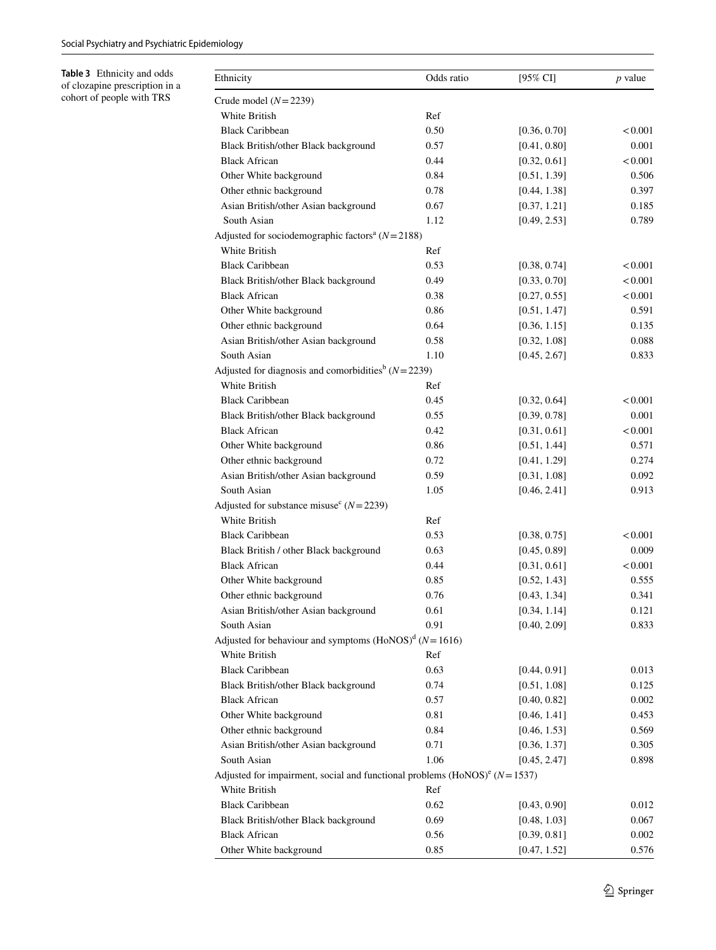<span id="page-10-0"></span>**Table 3** Ethnicity and odds of clozapine prescription in a cohort of people with TRS

| Ethnicity                                                                    | Odds ratio | [95% CI]     | $p$ value |
|------------------------------------------------------------------------------|------------|--------------|-----------|
| Crude model $(N=2239)$                                                       |            |              |           |
| White British                                                                | Ref        |              |           |
| <b>Black Caribbean</b>                                                       | 0.50       | [0.36, 0.70] | < 0.001   |
| Black British/other Black background                                         | 0.57       | [0.41, 0.80] | 0.001     |
| <b>Black African</b>                                                         | 0.44       | [0.32, 0.61] | < 0.001   |
| Other White background                                                       | 0.84       | [0.51, 1.39] | 0.506     |
| Other ethnic background                                                      | 0.78       | [0.44, 1.38] | 0.397     |
| Asian British/other Asian background                                         | 0.67       | [0.37, 1.21] | 0.185     |
| South Asian                                                                  | 1.12       | [0.49, 2.53] | 0.789     |
| Adjusted for sociodemographic factors <sup>a</sup> $(N=2188)$                |            |              |           |
| White British                                                                | Ref        |              |           |
| <b>Black Caribbean</b>                                                       | 0.53       | [0.38, 0.74] | < 0.001   |
| Black British/other Black background                                         | 0.49       | [0.33, 0.70] | < 0.001   |
| <b>Black African</b>                                                         | 0.38       | [0.27, 0.55] | < 0.001   |
| Other White background                                                       | 0.86       | [0.51, 1.47] | 0.591     |
| Other ethnic background                                                      | 0.64       | [0.36, 1.15] | 0.135     |
| Asian British/other Asian background                                         | 0.58       | [0.32, 1.08] | 0.088     |
| South Asian                                                                  | 1.10       | [0.45, 2.67] | 0.833     |
| Adjusted for diagnosis and comorbidities <sup>b</sup> ( $N = 2239$ )         |            |              |           |
| White British                                                                | Ref        |              |           |
| <b>Black Caribbean</b>                                                       | 0.45       | [0.32, 0.64] | < 0.001   |
| Black British/other Black background                                         | 0.55       | [0.39, 0.78] | 0.001     |
| <b>Black African</b>                                                         | 0.42       | [0.31, 0.61] | < 0.001   |
| Other White background                                                       | 0.86       | [0.51, 1.44] | 0.571     |
| Other ethnic background                                                      | 0.72       | [0.41, 1.29] | 0.274     |
| Asian British/other Asian background                                         | 0.59       | [0.31, 1.08] | 0.092     |
| South Asian                                                                  | 1.05       | [0.46, 2.41] | 0.913     |
| Adjusted for substance misuse <sup>c</sup> ( $N = 2239$ )                    |            |              |           |
| White British                                                                | Ref        |              |           |
| <b>Black Caribbean</b>                                                       | 0.53       | [0.38, 0.75] | < 0.001   |
| Black British / other Black background                                       | 0.63       | [0.45, 0.89] | 0.009     |
| <b>Black African</b>                                                         | 0.44       | [0.31, 0.61] | < 0.001   |
| Other White background                                                       | 0.85       | [0.52, 1.43] | 0.555     |
| Other ethnic background                                                      | 0.76       | [0.43, 1.34] | 0.341     |
| Asian British/other Asian background                                         | 0.61       | [0.34, 1.14] | 0.121     |
| South Asian                                                                  | 0.91       | [0.40, 2.09] | 0.833     |
| Adjusted for behaviour and symptoms $(HoNOS)^d$ ( $N = 1616$ )               |            |              |           |
| White British                                                                | Ref        |              |           |
| <b>Black Caribbean</b>                                                       | 0.63       | [0.44, 0.91] | 0.013     |
| Black British/other Black background                                         | 0.74       | [0.51, 1.08] | 0.125     |
| <b>Black African</b>                                                         | 0.57       | [0.40, 0.82] | 0.002     |
| Other White background                                                       | 0.81       | [0.46, 1.41] | 0.453     |
| Other ethnic background                                                      | 0.84       | [0.46, 1.53] | 0.569     |
| Asian British/other Asian background                                         | 0.71       | [0.36, 1.37] | 0.305     |
| South Asian                                                                  | 1.06       | [0.45, 2.47] | 0.898     |
| Adjusted for impairment, social and functional problems $(HoNOS)^e (N=1537)$ |            |              |           |
| White British                                                                | Ref        |              |           |
| <b>Black Caribbean</b>                                                       | 0.62       | [0.43, 0.90] | 0.012     |
| Black British/other Black background                                         | 0.69       | [0.48, 1.03] | 0.067     |
| <b>Black African</b>                                                         | 0.56       | [0.39, 0.81] | 0.002     |
| Other White background                                                       | 0.85       | [0.47, 1.52] | 0.576     |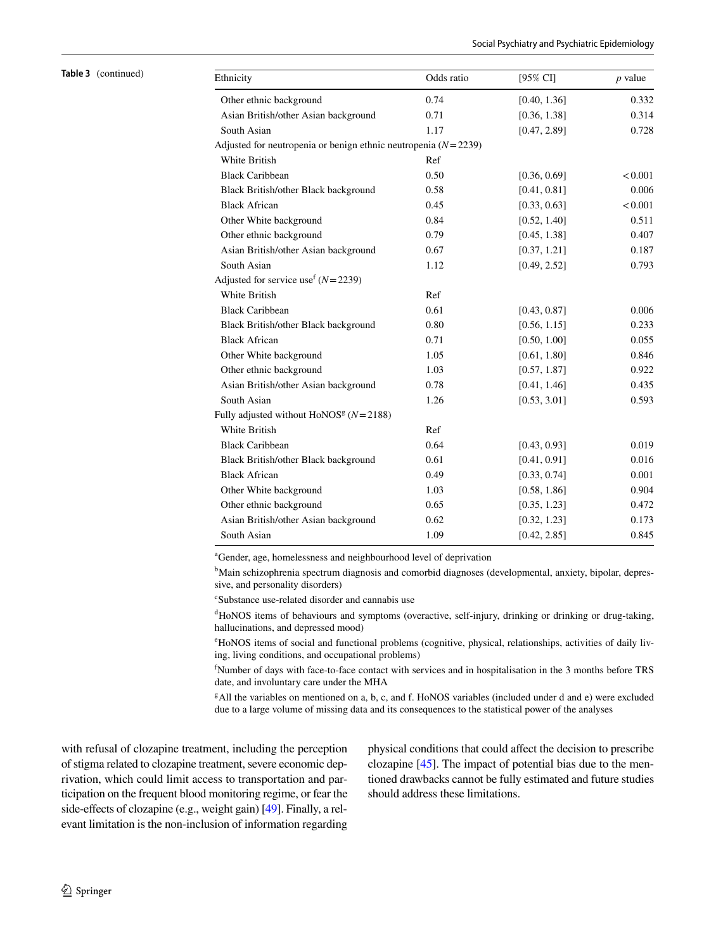| Table 3 (continued) | Ethnicity                                                | Odds ratio                                                       | $[95\%$ CI]  | $p$ value |  |  |  |  |  |  |  |
|---------------------|----------------------------------------------------------|------------------------------------------------------------------|--------------|-----------|--|--|--|--|--|--|--|
|                     | Other ethnic background                                  | 0.74                                                             | [0.40, 1.36] | 0.332     |  |  |  |  |  |  |  |
|                     | Asian British/other Asian background                     | 0.71                                                             | [0.36, 1.38] | 0.314     |  |  |  |  |  |  |  |
|                     | South Asian                                              | 1.17                                                             | [0.47, 2.89] | 0.728     |  |  |  |  |  |  |  |
|                     |                                                          | Adjusted for neutropenia or benign ethnic neutropenia $(N=2239)$ |              |           |  |  |  |  |  |  |  |
|                     | White British                                            | Ref                                                              |              |           |  |  |  |  |  |  |  |
|                     | <b>Black Caribbean</b>                                   | 0.50                                                             | [0.36, 0.69] | < 0.001   |  |  |  |  |  |  |  |
|                     | Black British/other Black background                     | 0.58                                                             | [0.41, 0.81] | 0.006     |  |  |  |  |  |  |  |
|                     | <b>Black African</b>                                     | 0.45                                                             | [0.33, 0.63] | < 0.001   |  |  |  |  |  |  |  |
|                     | Other White background                                   | 0.84                                                             | [0.52, 1.40] | 0.511     |  |  |  |  |  |  |  |
|                     | Other ethnic background                                  | 0.79                                                             | [0.45, 1.38] | 0.407     |  |  |  |  |  |  |  |
|                     | Asian British/other Asian background                     | 0.67                                                             | [0.37, 1.21] | 0.187     |  |  |  |  |  |  |  |
|                     | South Asian                                              | 1.12                                                             | [0.49, 2.52] | 0.793     |  |  |  |  |  |  |  |
|                     | Adjusted for service use <sup>f</sup> $(N=2239)$         |                                                                  |              |           |  |  |  |  |  |  |  |
|                     | White British                                            | Ref                                                              |              |           |  |  |  |  |  |  |  |
|                     | <b>Black Caribbean</b>                                   | 0.61                                                             | [0.43, 0.87] | 0.006     |  |  |  |  |  |  |  |
|                     | Black British/other Black background                     | 0.80                                                             | [0.56, 1.15] | 0.233     |  |  |  |  |  |  |  |
|                     | <b>Black African</b>                                     | 0.71                                                             | [0.50, 1.00] | 0.055     |  |  |  |  |  |  |  |
|                     | Other White background                                   | 1.05                                                             | [0.61, 1.80] | 0.846     |  |  |  |  |  |  |  |
|                     | Other ethnic background                                  | 1.03                                                             | [0.57, 1.87] | 0.922     |  |  |  |  |  |  |  |
|                     | Asian British/other Asian background                     | 0.78                                                             | [0.41, 1.46] | 0.435     |  |  |  |  |  |  |  |
|                     | South Asian                                              | 1.26                                                             | [0.53, 3.01] | 0.593     |  |  |  |  |  |  |  |
|                     | Fully adjusted without HoNOS <sup>g</sup> ( $N = 2188$ ) |                                                                  |              |           |  |  |  |  |  |  |  |
|                     | White British                                            | Ref                                                              |              |           |  |  |  |  |  |  |  |
|                     | <b>Black Caribbean</b>                                   | 0.64                                                             | [0.43, 0.93] | 0.019     |  |  |  |  |  |  |  |
|                     | Black British/other Black background                     | 0.61                                                             | [0.41, 0.91] | 0.016     |  |  |  |  |  |  |  |
|                     | <b>Black African</b>                                     | 0.49                                                             | [0.33, 0.74] | 0.001     |  |  |  |  |  |  |  |
|                     | Other White background                                   | 1.03                                                             | [0.58, 1.86] | 0.904     |  |  |  |  |  |  |  |
|                     | Other ethnic background                                  | 0.65                                                             | [0.35, 1.23] | 0.472     |  |  |  |  |  |  |  |
|                     | Asian British/other Asian background                     | 0.62                                                             | [0.32, 1.23] | 0.173     |  |  |  |  |  |  |  |
|                     | South Asian                                              | 1.09                                                             | [0.42, 2.85] | 0.845     |  |  |  |  |  |  |  |

a Gender, age, homelessness and neighbourhood level of deprivation

<sup>b</sup>Main schizophrenia spectrum diagnosis and comorbid diagnoses (developmental, anxiety, bipolar, depressive, and personality disorders)

c Substance use-related disorder and cannabis use

d HoNOS items of behaviours and symptoms (overactive, self-injury, drinking or drinking or drug-taking, hallucinations, and depressed mood)

e HoNOS items of social and functional problems (cognitive, physical, relationships, activities of daily living, living conditions, and occupational problems)

f Number of days with face-to-face contact with services and in hospitalisation in the 3 months before TRS date, and involuntary care under the MHA

g All the variables on mentioned on a, b, c, and f. HoNOS variables (included under d and e) were excluded due to a large volume of missing data and its consequences to the statistical power of the analyses

with refusal of clozapine treatment, including the perception of stigma related to clozapine treatment, severe economic deprivation, which could limit access to transportation and participation on the frequent blood monitoring regime, or fear the side-effects of clozapine (e.g., weight gain) [[49\]](#page-14-5). Finally, a relevant limitation is the non-inclusion of information regarding physical conditions that could afect the decision to prescribe clozapine [[45\]](#page-14-2). The impact of potential bias due to the mentioned drawbacks cannot be fully estimated and future studies should address these limitations.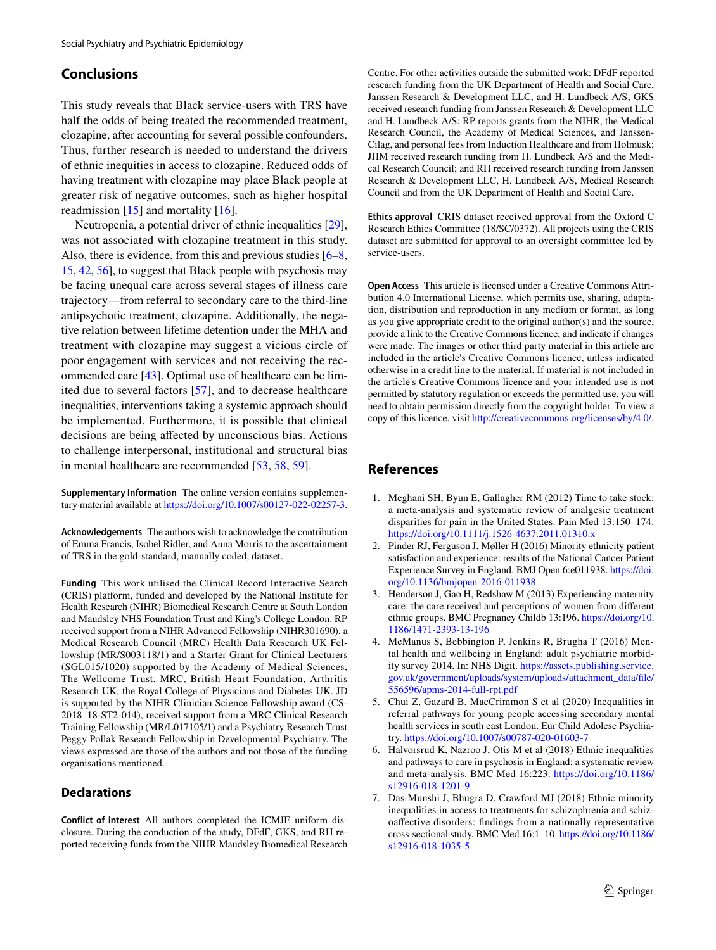# **Conclusions**

This study reveals that Black service-users with TRS have half the odds of being treated the recommended treatment, clozapine, after accounting for several possible confounders. Thus, further research is needed to understand the drivers of ethnic inequities in access to clozapine. Reduced odds of having treatment with clozapine may place Black people at greater risk of negative outcomes, such as higher hospital readmission  $[15]$  $[15]$  and mortality  $[16]$  $[16]$ .

Neutropenia, a potential driver of ethnic inequalities [\[29](#page-13-16)], was not associated with clozapine treatment in this study. Also, there is evidence, from this and previous studies [[6–](#page-12-5)[8,](#page-13-0) [15,](#page-13-7) [42,](#page-13-31) [56](#page-14-12)], to suggest that Black people with psychosis may be facing unequal care across several stages of illness care trajectory—from referral to secondary care to the third-line antipsychotic treatment, clozapine. Additionally, the negative relation between lifetime detention under the MHA and treatment with clozapine may suggest a vicious circle of poor engagement with services and not receiving the recommended care [\[43\]](#page-14-0). Optimal use of healthcare can be limited due to several factors [\[57](#page-14-13)], and to decrease healthcare inequalities, interventions taking a systemic approach should be implemented. Furthermore, it is possible that clinical decisions are being afected by unconscious bias. Actions to challenge interpersonal, institutional and structural bias in mental healthcare are recommended [\[53](#page-14-8), [58](#page-14-14), [59](#page-14-15)].

**Supplementary Information** The online version contains supplementary material available at<https://doi.org/10.1007/s00127-022-02257-3>.

**Acknowledgements** The authors wish to acknowledge the contribution of Emma Francis, Isobel Ridler, and Anna Morris to the ascertainment of TRS in the gold-standard, manually coded, dataset.

**Funding** This work utilised the Clinical Record Interactive Search (CRIS) platform, funded and developed by the National Institute for Health Research (NIHR) Biomedical Research Centre at South London and Maudsley NHS Foundation Trust and King's College London. RP received support from a NIHR Advanced Fellowship (NIHR301690), a Medical Research Council (MRC) Health Data Research UK Fellowship (MR/S003118/1) and a Starter Grant for Clinical Lecturers (SGL015/1020) supported by the Academy of Medical Sciences, The Wellcome Trust, MRC, British Heart Foundation, Arthritis Research UK, the Royal College of Physicians and Diabetes UK. JD is supported by the NIHR Clinician Science Fellowship award (CS-2018–18-ST2-014), received support from a MRC Clinical Research Training Fellowship (MR/L017105/1) and a Psychiatry Research Trust Peggy Pollak Research Fellowship in Developmental Psychiatry. The views expressed are those of the authors and not those of the funding organisations mentioned.

#### **Declarations**

**Conflict of interest** All authors completed the ICMJE uniform disclosure. During the conduction of the study, DFdF, GKS, and RH reported receiving funds from the NIHR Maudsley Biomedical Research Centre. For other activities outside the submitted work: DFdF reported research funding from the UK Department of Health and Social Care, Janssen Research & Development LLC, and H. Lundbeck A/S; GKS received research funding from Janssen Research & Development LLC and H. Lundbeck A/S; RP reports grants from the NIHR, the Medical Research Council, the Academy of Medical Sciences, and Janssen-Cilag, and personal fees from Induction Healthcare and from Holmusk; JHM received research funding from H. Lundbeck A/S and the Medical Research Council; and RH received research funding from Janssen Research & Development LLC, H. Lundbeck A/S, Medical Research Council and from the UK Department of Health and Social Care.

**Ethics approval** CRIS dataset received approval from the Oxford C Research Ethics Committee (18/SC/0372). All projects using the CRIS dataset are submitted for approval to an oversight committee led by service-users.

**Open Access** This article is licensed under a Creative Commons Attribution 4.0 International License, which permits use, sharing, adaptation, distribution and reproduction in any medium or format, as long as you give appropriate credit to the original author(s) and the source, provide a link to the Creative Commons licence, and indicate if changes were made. The images or other third party material in this article are included in the article's Creative Commons licence, unless indicated otherwise in a credit line to the material. If material is not included in the article's Creative Commons licence and your intended use is not permitted by statutory regulation or exceeds the permitted use, you will need to obtain permission directly from the copyright holder. To view a copy of this licence, visit<http://creativecommons.org/licenses/by/4.0/>.

# **References**

- <span id="page-12-0"></span>1. Meghani SH, Byun E, Gallagher RM (2012) Time to take stock: a meta-analysis and systematic review of analgesic treatment disparities for pain in the United States. Pain Med 13:150–174. <https://doi.org/10.1111/j.1526-4637.2011.01310.x>
- <span id="page-12-1"></span>2. Pinder RJ, Ferguson J, Møller H (2016) Minority ethnicity patient satisfaction and experience: results of the National Cancer Patient Experience Survey in England. BMJ Open 6:e011938. [https://doi.](https://doi.org/10.1136/bmjopen-2016-011938) [org/10.1136/bmjopen-2016-011938](https://doi.org/10.1136/bmjopen-2016-011938)
- <span id="page-12-2"></span>3. Henderson J, Gao H, Redshaw M (2013) Experiencing maternity care: the care received and perceptions of women from diferent ethnic groups. BMC Pregnancy Childb 13:196. [https://doi.org/10.](https://doi.org/10.1186/1471-2393-13-196) [1186/1471-2393-13-196](https://doi.org/10.1186/1471-2393-13-196)
- <span id="page-12-3"></span>4. McManus S, Bebbington P, Jenkins R, Brugha T (2016) Mental health and wellbeing in England: adult psychiatric morbidity survey 2014. In: NHS Digit. [https://assets.publishing.service.](https://assets.publishing.service.gov.uk/government/uploads/system/uploads/attachment_data/file/556596/apms-2014-full-rpt.pdf) [gov.uk/government/uploads/system/uploads/attachment\\_data/fle/](https://assets.publishing.service.gov.uk/government/uploads/system/uploads/attachment_data/file/556596/apms-2014-full-rpt.pdf) [556596/apms-2014-full-rpt.pdf](https://assets.publishing.service.gov.uk/government/uploads/system/uploads/attachment_data/file/556596/apms-2014-full-rpt.pdf)
- <span id="page-12-4"></span>5. Chui Z, Gazard B, MacCrimmon S et al (2020) Inequalities in referral pathways for young people accessing secondary mental health services in south east London. Eur Child Adolesc Psychiatry. <https://doi.org/10.1007/s00787-020-01603-7>
- <span id="page-12-5"></span>6. Halvorsrud K, Nazroo J, Otis M et al (2018) Ethnic inequalities and pathways to care in psychosis in England: a systematic review and meta-analysis. BMC Med 16:223. [https://doi.org/10.1186/](https://doi.org/10.1186/s12916-018-1201-9) [s12916-018-1201-9](https://doi.org/10.1186/s12916-018-1201-9)
- <span id="page-12-6"></span>7. Das-Munshi J, Bhugra D, Crawford MJ (2018) Ethnic minority inequalities in access to treatments for schizophrenia and schizoafective disorders: fndings from a nationally representative cross-sectional study. BMC Med 16:1–10. [https://doi.org/10.1186/](https://doi.org/10.1186/s12916-018-1035-5) [s12916-018-1035-5](https://doi.org/10.1186/s12916-018-1035-5)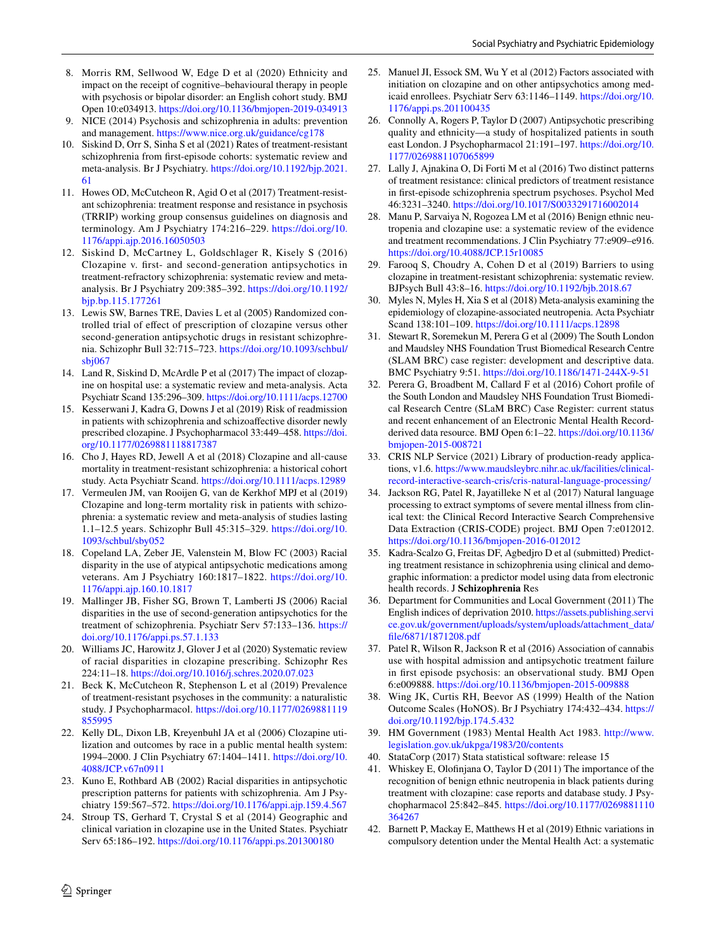- <span id="page-13-0"></span>8. Morris RM, Sellwood W, Edge D et al (2020) Ethnicity and impact on the receipt of cognitive–behavioural therapy in people with psychosis or bipolar disorder: an English cohort study. BMJ Open 10:e034913.<https://doi.org/10.1136/bmjopen-2019-034913>
- <span id="page-13-1"></span>9. NICE (2014) Psychosis and schizophrenia in adults: prevention and management.<https://www.nice.org.uk/guidance/cg178>
- <span id="page-13-2"></span>10. Siskind D, Orr S, Sinha S et al (2021) Rates of treatment-resistant schizophrenia from frst-episode cohorts: systematic review and meta-analysis. Br J Psychiatry. [https://doi.org/10.1192/bjp.2021.](https://doi.org/10.1192/bjp.2021.61) [61](https://doi.org/10.1192/bjp.2021.61)
- <span id="page-13-3"></span>11. Howes OD, McCutcheon R, Agid O et al (2017) Treatment-resistant schizophrenia: treatment response and resistance in psychosis (TRRIP) working group consensus guidelines on diagnosis and terminology. Am J Psychiatry 174:216–229. [https://doi.org/10.](https://doi.org/10.1176/appi.ajp.2016.16050503) [1176/appi.ajp.2016.16050503](https://doi.org/10.1176/appi.ajp.2016.16050503)
- <span id="page-13-4"></span>12. Siskind D, McCartney L, Goldschlager R, Kisely S (2016) Clozapine v. frst- and second-generation antipsychotics in treatment-refractory schizophrenia: systematic review and metaanalysis. Br J Psychiatry 209:385–392. [https://doi.org/10.1192/](https://doi.org/10.1192/bjp.bp.115.177261) [bjp.bp.115.177261](https://doi.org/10.1192/bjp.bp.115.177261)
- <span id="page-13-5"></span>13. Lewis SW, Barnes TRE, Davies L et al (2005) Randomized controlled trial of efect of prescription of clozapine versus other second-generation antipsychotic drugs in resistant schizophrenia. Schizophr Bull 32:715–723. [https://doi.org/10.1093/schbul/](https://doi.org/10.1093/schbul/sbj067) [sbj067](https://doi.org/10.1093/schbul/sbj067)
- <span id="page-13-6"></span>14. Land R, Siskind D, McArdle P et al (2017) The impact of clozapine on hospital use: a systematic review and meta-analysis. Acta Psychiatr Scand 135:296–309.<https://doi.org/10.1111/acps.12700>
- <span id="page-13-7"></span>15. Kesserwani J, Kadra G, Downs J et al (2019) Risk of readmission in patients with schizophrenia and schizoafective disorder newly prescribed clozapine. J Psychopharmacol 33:449–458. [https://doi.](https://doi.org/10.1177/0269881118817387) [org/10.1177/0269881118817387](https://doi.org/10.1177/0269881118817387)
- <span id="page-13-8"></span>16. Cho J, Hayes RD, Jewell A et al (2018) Clozapine and all-cause mortality in treatment‐resistant schizophrenia: a historical cohort study. Acta Psychiatr Scand. <https://doi.org/10.1111/acps.12989>
- <span id="page-13-9"></span>17. Vermeulen JM, van Rooijen G, van de Kerkhof MPJ et al (2019) Clozapine and long-term mortality risk in patients with schizophrenia: a systematic review and meta-analysis of studies lasting 1.1–12.5 years. Schizophr Bull 45:315–329. [https://doi.org/10.](https://doi.org/10.1093/schbul/sby052) [1093/schbul/sby052](https://doi.org/10.1093/schbul/sby052)
- <span id="page-13-10"></span>18. Copeland LA, Zeber JE, Valenstein M, Blow FC (2003) Racial disparity in the use of atypical antipsychotic medications among veterans. Am J Psychiatry 160:1817–1822. [https://doi.org/10.](https://doi.org/10.1176/appi.ajp.160.10.1817) [1176/appi.ajp.160.10.1817](https://doi.org/10.1176/appi.ajp.160.10.1817)
- 19. Mallinger JB, Fisher SG, Brown T, Lamberti JS (2006) Racial disparities in the use of second-generation antipsychotics for the treatment of schizophrenia. Psychiatr Serv 57:133–136. [https://](https://doi.org/10.1176/appi.ps.57.1.133) [doi.org/10.1176/appi.ps.57.1.133](https://doi.org/10.1176/appi.ps.57.1.133)
- <span id="page-13-29"></span>20. Williams JC, Harowitz J, Glover J et al (2020) Systematic review of racial disparities in clozapine prescribing. Schizophr Res 224:11–18.<https://doi.org/10.1016/j.schres.2020.07.023>
- <span id="page-13-14"></span>21. Beck K, McCutcheon R, Stephenson L et al (2019) Prevalence of treatment-resistant psychoses in the community: a naturalistic study. J Psychopharmacol. [https://doi.org/10.1177/0269881119](https://doi.org/10.1177/0269881119855995) [855995](https://doi.org/10.1177/0269881119855995)
- 22. Kelly DL, Dixon LB, Kreyenbuhl JA et al (2006) Clozapine utilization and outcomes by race in a public mental health system: 1994–2000. J Clin Psychiatry 67:1404–1411. [https://doi.org/10.](https://doi.org/10.4088/JCP.v67n0911) [4088/JCP.v67n0911](https://doi.org/10.4088/JCP.v67n0911)
- <span id="page-13-18"></span>23. Kuno E, Rothbard AB (2002) Racial disparities in antipsychotic prescription patterns for patients with schizophrenia. Am J Psychiatry 159:567–572. <https://doi.org/10.1176/appi.ajp.159.4.567>
- <span id="page-13-32"></span>24. Stroup TS, Gerhard T, Crystal S et al (2014) Geographic and clinical variation in clozapine use in the United States. Psychiatr Serv 65:186–192.<https://doi.org/10.1176/appi.ps.201300180>
- <span id="page-13-11"></span>25. Manuel JI, Essock SM, Wu Y et al (2012) Factors associated with initiation on clozapine and on other antipsychotics among medicaid enrollees. Psychiatr Serv 63:1146–1149. [https://doi.org/10.](https://doi.org/10.1176/appi.ps.201100435) [1176/appi.ps.201100435](https://doi.org/10.1176/appi.ps.201100435)
- <span id="page-13-12"></span>26. Connolly A, Rogers P, Taylor D (2007) Antipsychotic prescribing quality and ethnicity—a study of hospitalized patients in south east London. J Psychopharmacol 21:191–197. [https://doi.org/10.](https://doi.org/10.1177/0269881107065899) [1177/0269881107065899](https://doi.org/10.1177/0269881107065899)
- <span id="page-13-13"></span>27. Lally J, Ajnakina O, Di Forti M et al (2016) Two distinct patterns of treatment resistance: clinical predictors of treatment resistance in frst-episode schizophrenia spectrum psychoses. Psychol Med 46:3231–3240.<https://doi.org/10.1017/S0033291716002014>
- <span id="page-13-15"></span>28. Manu P, Sarvaiya N, Rogozea LM et al (2016) Benign ethnic neutropenia and clozapine use: a systematic review of the evidence and treatment recommendations. J Clin Psychiatry 77:e909–e916. <https://doi.org/10.4088/JCP.15r10085>
- <span id="page-13-16"></span>29. Farooq S, Choudry A, Cohen D et al (2019) Barriers to using clozapine in treatment-resistant schizophrenia: systematic review. BJPsych Bull 43:8–16. <https://doi.org/10.1192/bjb.2018.67>
- <span id="page-13-17"></span>30. Myles N, Myles H, Xia S et al (2018) Meta-analysis examining the epidemiology of clozapine-associated neutropenia. Acta Psychiatr Scand 138:101–109. <https://doi.org/10.1111/acps.12898>
- <span id="page-13-19"></span>31. Stewart R, Soremekun M, Perera G et al (2009) The South London and Maudsley NHS Foundation Trust Biomedical Research Centre (SLAM BRC) case register: development and descriptive data. BMC Psychiatry 9:51.<https://doi.org/10.1186/1471-244X-9-51>
- <span id="page-13-20"></span>32. Perera G, Broadbent M, Callard F et al (2016) Cohort profle of the South London and Maudsley NHS Foundation Trust Biomedical Research Centre (SLaM BRC) Case Register: current status and recent enhancement of an Electronic Mental Health Recordderived data resource. BMJ Open 6:1–22. [https://doi.org/10.1136/](https://doi.org/10.1136/bmjopen-2015-008721) [bmjopen-2015-008721](https://doi.org/10.1136/bmjopen-2015-008721)
- <span id="page-13-23"></span>33. CRIS NLP Service (2021) Library of production-ready applications, v1.6. [https://www.maudsleybrc.nihr.ac.uk/facilities/clinical](https://www.maudsleybrc.nihr.ac.uk/facilities/clinical-record-interactive-search-cris/cris-natural-language-processing/)[record-interactive-search-cris/cris-natural-language-processing/](https://www.maudsleybrc.nihr.ac.uk/facilities/clinical-record-interactive-search-cris/cris-natural-language-processing/)
- <span id="page-13-21"></span>34. Jackson RG, Patel R, Jayatilleke N et al (2017) Natural language processing to extract symptoms of severe mental illness from clinical text: the Clinical Record Interactive Search Comprehensive Data Extraction (CRIS-CODE) project. BMJ Open 7:e012012. <https://doi.org/10.1136/bmjopen-2016-012012>
- <span id="page-13-22"></span>35. Kadra-Scalzo G, Freitas DF, Agbedjro D et al (submitted) Predicting treatment resistance in schizophrenia using clinical and demographic information: a predictor model using data from electronic health records. J **Schizophrenia** Res
- <span id="page-13-24"></span>36. Department for Communities and Local Government (2011) The English indices of deprivation 2010. [https://assets.publishing.servi](https://assets.publishing.service.gov.uk/government/uploads/system/uploads/attachment_data/file/6871/1871208.pdf) [ce.gov.uk/government/uploads/system/uploads/attachment\\_data/](https://assets.publishing.service.gov.uk/government/uploads/system/uploads/attachment_data/file/6871/1871208.pdf) [fle/6871/1871208.pdf](https://assets.publishing.service.gov.uk/government/uploads/system/uploads/attachment_data/file/6871/1871208.pdf)
- <span id="page-13-25"></span>37. Patel R, Wilson R, Jackson R et al (2016) Association of cannabis use with hospital admission and antipsychotic treatment failure in frst episode psychosis: an observational study. BMJ Open 6:e009888. <https://doi.org/10.1136/bmjopen-2015-009888>
- <span id="page-13-26"></span>38. Wing JK, Curtis RH, Beevor AS (1999) Health of the Nation Outcome Scales (HoNOS). Br J Psychiatry 174:432–434. [https://](https://doi.org/10.1192/bjp.174.5.432) [doi.org/10.1192/bjp.174.5.432](https://doi.org/10.1192/bjp.174.5.432)
- <span id="page-13-27"></span>39. HM Government (1983) Mental Health Act 1983. [http://www.](http://www.legislation.gov.uk/ukpga/1983/20/contents) [legislation.gov.uk/ukpga/1983/20/contents](http://www.legislation.gov.uk/ukpga/1983/20/contents)
- <span id="page-13-28"></span>40. StataCorp (2017) Stata statistical software: release 15
- <span id="page-13-30"></span>41. Whiskey E, Olofnjana O, Taylor D (2011) The importance of the recognition of benign ethnic neutropenia in black patients during treatment with clozapine: case reports and database study. J Psychopharmacol 25:842–845. [https://doi.org/10.1177/0269881110](https://doi.org/10.1177/0269881110364267) [364267](https://doi.org/10.1177/0269881110364267)
- <span id="page-13-31"></span>42. Barnett P, Mackay E, Matthews H et al (2019) Ethnic variations in compulsory detention under the Mental Health Act: a systematic